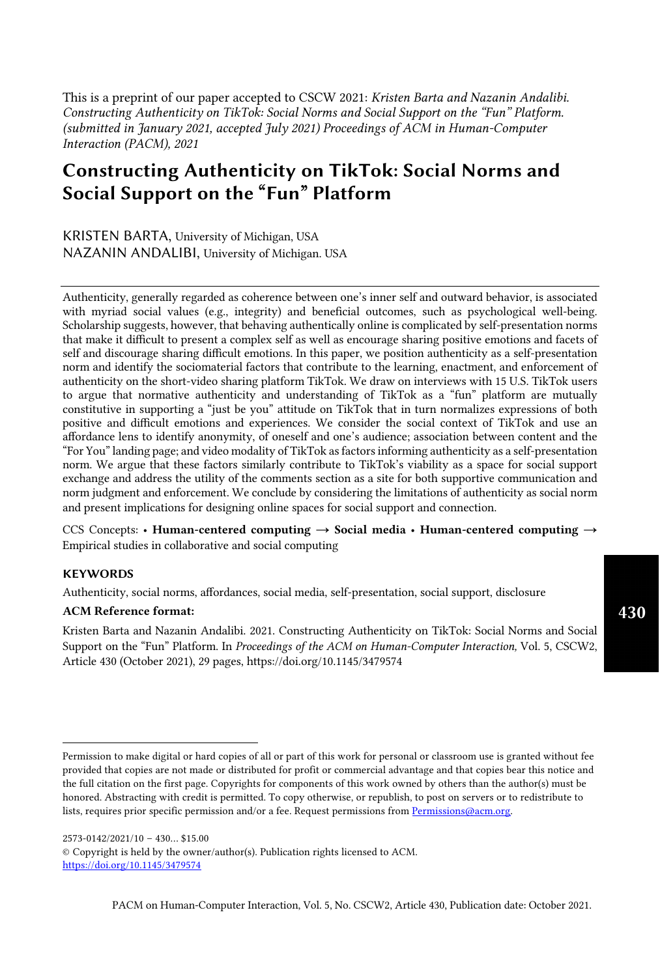This is a preprint of our paper accepted to CSCW 2021: *Kristen Barta and Nazanin Andalibi. Constructing Authenticity on TikTok: Social Norms and Social Support on the "Fun" Platform. (submitted in January 2021, accepted July 2021) Proceedings of ACM in Human-Computer Interaction (PACM), 2021*

# Constructing Authenticity on TikTok: Social Norms and Social Support on the "Fun" Platform

KRISTEN BARTA, University of Michigan, USA NAZANIN ANDALIBI, University of Michigan. USA

Authenticity, generally regarded as coherence between one's inner self and outward behavior, is associated with myriad social values (e.g., integrity) and beneficial outcomes, such as psychological well-being. Scholarship suggests, however, that behaving authentically online is complicated by self-presentation norms that make it difficult to present a complex self as well as encourage sharing positive emotions and facets of self and discourage sharing difficult emotions. In this paper, we position authenticity as a self-presentation norm and identify the sociomaterial factors that contribute to the learning, enactment, and enforcement of authenticity on the short-video sharing platform TikTok. We draw on interviews with 15 U.S. TikTok users to argue that normative authenticity and understanding of TikTok as a "fun" platform are mutually constitutive in supporting a "just be you" atitude on TikTok that in turn normalizes expressions of both positive and difficult emotions and experiences. We consider the social context of TikTok and use an affordance lens to identify anonymity, of oneself and one's audience; association between content and the "For You" landing page; and video modality of TikTok as factors informing authenticity as a self-presentation norm. We argue that these factors similarly contribute to TikTok's viability as a space for social support exchange and address the utility of the comments section as a site for both supportive communication and norm judgment and enforcement. We conclude by considering the limitations of authenticity as social norm and present implications for designing online spaces for social support and connection.

CCS Concepts: • Human-centered computing  $\rightarrow$  Social media • Human-centered computing  $\rightarrow$ Empirical studies in collaborative and social computing

# **KEYWORDS**

Authenticity, social norms, affordances, social media, self-presentation, social support, disclosure

# ACM Reference format:

Kristen Barta and Nazanin Andalibi. 2021. Constructing Authenticity on TikTok: Social Norms and Social Support on the "Fun" Platform. In *Proceedings of the ACM on Human-Computer Interaction,* Vol. 5, CSCW2, Article 430 (October 2021), 29 pages, htps://doi.org/10.1145/3479574

2573-0142/2021/10 – 430… \$15.00 © Copyright is held by the owner/author(s). Publication rights licensed to ACM. https://doi.org/10.1145/3479574

Permission to make digital or hard copies of all or part of this work for personal or classroom use is granted without fee provided that copies are not made or distributed for profit or commercial advantage and that copies bear this notice and the full citation on the first page. Copyrights for components of this work owned by others than the author(s) must be honored. Abstracting with credit is permitted. To copy otherwise, or republish, to post on servers or to redistribute to lists, requires prior specific permission and/or a fee. Request permissions from Permissions@acm.org.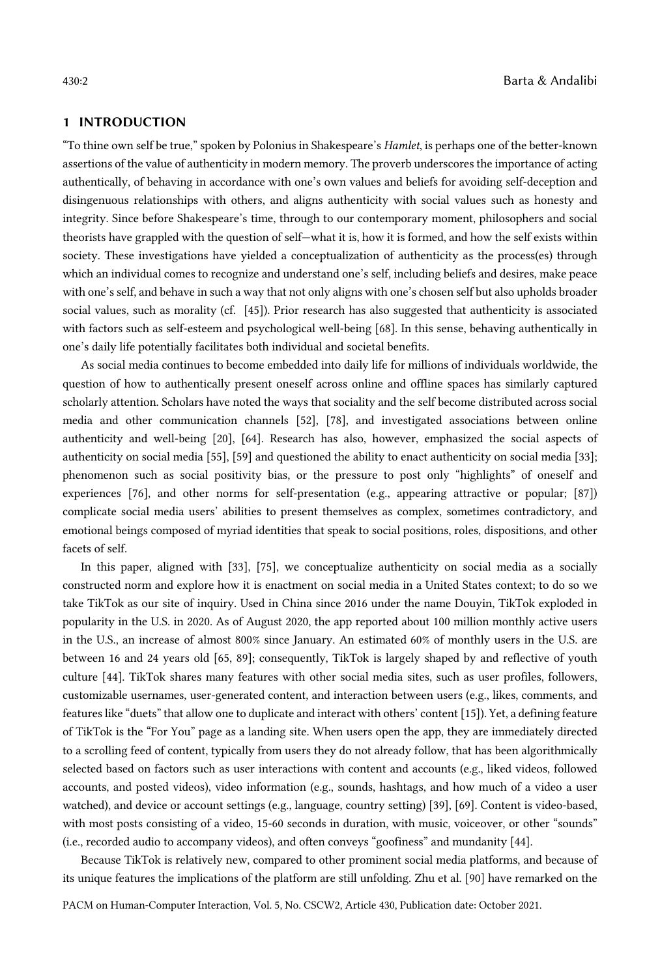# 1 INTRODUCTION

"To thine own self be true," spoken by Polonius in Shakespeare's *Hamlet*, is perhaps one of the better-known assertions of the value of authenticity in modern memory. The proverb underscores the importance of acting authentically, of behaving in accordance with one's own values and beliefs for avoiding self-deception and disingenuous relationships with others, and aligns authenticity with social values such as honesty and integrity. Since before Shakespeare's time, through to our contemporary moment, philosophers and social theorists have grappled with the question of self—what it is, how it is formed, and how the self exists within society. These investigations have yielded a conceptualization of authenticity as the process(es) through which an individual comes to recognize and understand one's self, including beliefs and desires, make peace with one's self, and behave in such a way that not only aligns with one's chosen self but also upholds broader social values, such as morality (cf. [45]). Prior research has also suggested that authenticity is associated with factors such as self-esteem and psychological well-being [68]. In this sense, behaving authentically in one's daily life potentially facilitates both individual and societal benefits.

As social media continues to become embedded into daily life for millions of individuals worldwide, the question of how to authentically present oneself across online and offline spaces has similarly captured scholarly attention. Scholars have noted the ways that sociality and the self become distributed across social media and other communication channels [52], [78], and investigated associations between online authenticity and well-being [20], [64]. Research has also, however, emphasized the social aspects of authenticity on social media [55], [59] and questioned the ability to enact authenticity on social media [33]; phenomenon such as social positivity bias, or the pressure to post only "highlights" of oneself and experiences [76], and other norms for self-presentation (e.g., appearing attractive or popular; [87]) complicate social media users' abilities to present themselves as complex, sometimes contradictory, and emotional beings composed of myriad identities that speak to social positions, roles, dispositions, and other facets of self.

In this paper, aligned with [33], [75], we conceptualize authenticity on social media as a socially constructed norm and explore how it is enactment on social media in a United States context; to do so we take TikTok as our site of inquiry. Used in China since 2016 under the name Douyin, TikTok exploded in popularity in the U.S. in 2020. As of August 2020, the app reported about 100 million monthly active users in the U.S., an increase of almost 800% since January. An estimated 60% of monthly users in the U.S. are between 16 and 24 years old [65, 89]; consequently, TikTok is largely shaped by and reflective of youth culture [44]. TikTok shares many features with other social media sites, such as user profiles, followers, customizable usernames, user-generated content, and interaction between users (e.g., likes, comments, and features like "duets" that allow one to duplicate and interact with others' content [15]). Yet, a defining feature of TikTok is the "For You" page as a landing site. When users open the app, they are immediately directed to a scrolling feed of content, typically from users they do not already follow, that has been algorithmically selected based on factors such as user interactions with content and accounts (e.g., liked videos, followed accounts, and posted videos), video information (e.g., sounds, hashtags, and how much of a video a user watched), and device or account settings (e.g., language, country setting) [39], [69]. Content is video-based, with most posts consisting of a video, 15-60 seconds in duration, with music, voiceover, or other "sounds" (i.e., recorded audio to accompany videos), and often conveys "goofiness" and mundanity [44].

Because TikTok is relatively new, compared to other prominent social media platforms, and because of its unique features the implications of the platform are still unfolding. Zhu et al. [90] have remarked on the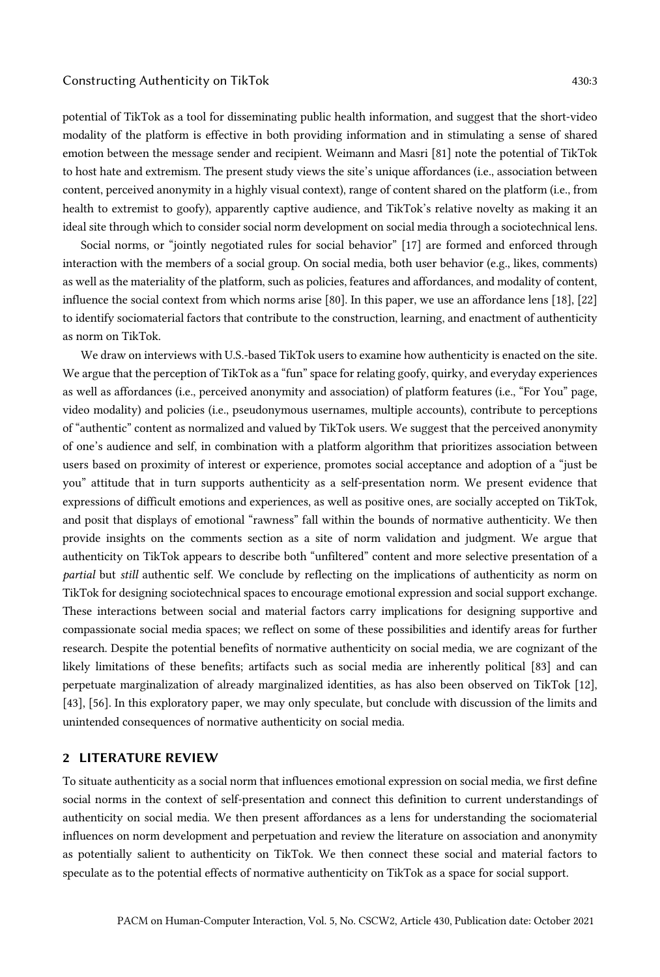potential of TikTok as a tool for disseminating public health information, and suggest that the short-video modality of the platform is effective in both providing information and in stimulating a sense of shared emotion between the message sender and recipient. Weimann and Masri [81] note the potential of TikTok to host hate and extremism. The present study views the site's unique affordances (i.e., association between content, perceived anonymity in a highly visual context), range of content shared on the platform (i.e., from health to extremist to goofy), apparently captive audience, and TikTok's relative novelty as making it an ideal site through which to consider social norm development on social media through a sociotechnical lens.

Social norms, or "jointly negotiated rules for social behavior" [17] are formed and enforced through interaction with the members of a social group. On social media, both user behavior (e.g., likes, comments) as well as the materiality of the platform, such as policies, features and affordances, and modality of content, influence the social context from which norms arise [80]. In this paper, we use an affordance lens [18], [22] to identify sociomaterial factors that contribute to the construction, learning, and enactment of authenticity as norm on TikTok.

We draw on interviews with U.S.-based TikTok users to examine how authenticity is enacted on the site. We argue that the perception of TikTok as a "fun" space for relating goofy, quirky, and everyday experiences as well as affordances (i.e., perceived anonymity and association) of platform features (i.e., "For You" page, video modality) and policies (i.e., pseudonymous usernames, multiple accounts), contribute to perceptions of "authentic" content as normalized and valued by TikTok users. We suggest that the perceived anonymity of one's audience and self, in combination with a platform algorithm that prioritizes association between users based on proximity of interest or experience, promotes social acceptance and adoption of a "just be you" attitude that in turn supports authenticity as a self-presentation norm. We present evidence that expressions of difficult emotions and experiences, as well as positive ones, are socially accepted on TikTok, and posit that displays of emotional "rawness" fall within the bounds of normative authenticity. We then provide insights on the comments section as a site of norm validation and judgment. We argue that authenticity on TikTok appears to describe both "unfiltered" content and more selective presentation of a *partial* but *still* authentic self. We conclude by reflecting on the implications of authenticity as norm on TikTok for designing sociotechnical spaces to encourage emotional expression and social support exchange. These interactions between social and material factors carry implications for designing supportive and compassionate social media spaces; we reflect on some of these possibilities and identify areas for further research. Despite the potential benefits of normative authenticity on social media, we are cognizant of the likely limitations of these benefits; artifacts such as social media are inherently political [83] and can perpetuate marginalization of already marginalized identities, as has also been observed on TikTok [12], [43], [56]. In this exploratory paper, we may only speculate, but conclude with discussion of the limits and unintended consequences of normative authenticity on social media.

# 2 LITERATURE REVIEW

To situate authenticity as a social norm that influences emotional expression on social media, we first define social norms in the context of self-presentation and connect this definition to current understandings of authenticity on social media. We then present affordances as a lens for understanding the sociomaterial influences on norm development and perpetuation and review the literature on association and anonymity as potentially salient to authenticity on TikTok. We then connect these social and material factors to speculate as to the potential effects of normative authenticity on TikTok as a space for social support.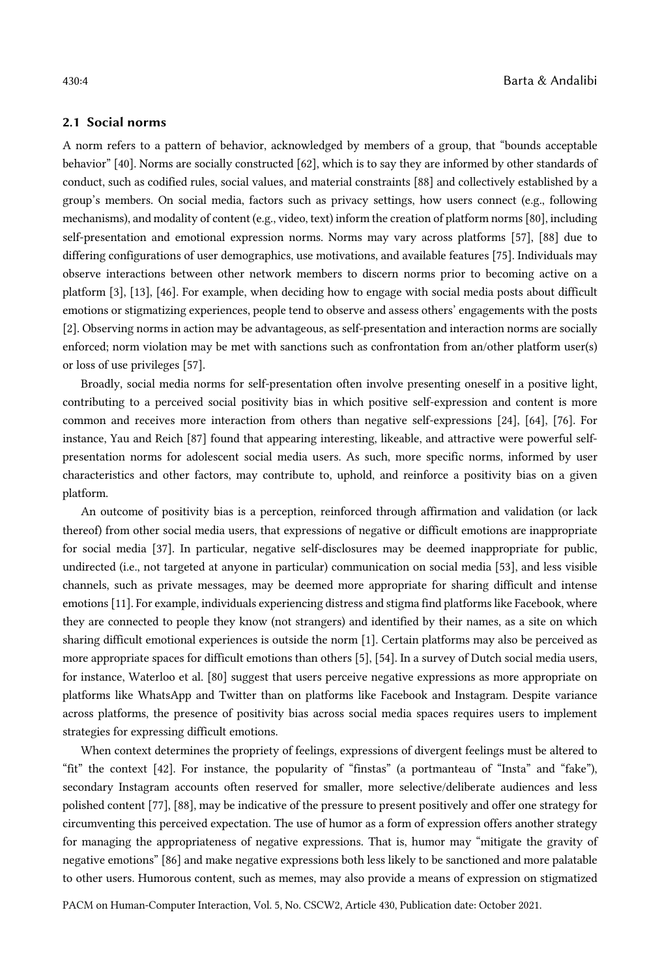# 2.1 Social norms

A norm refers to a pattern of behavior, acknowledged by members of a group, that "bounds acceptable behavior" [40]. Norms are socially constructed [62], which is to say they are informed by other standards of conduct, such as codified rules, social values, and material constraints [88] and collectively established by a group's members. On social media, factors such as privacy settings, how users connect (e.g., following mechanisms), and modality of content (e.g., video, text) inform the creation of platform norms [80], including self-presentation and emotional expression norms. Norms may vary across platforms [57], [88] due to differing configurations of user demographics, use motivations, and available features [75]. Individuals may observe interactions between other network members to discern norms prior to becoming active on a platform [3], [13], [46]. For example, when deciding how to engage with social media posts about difficult emotions or stigmatizing experiences, people tend to observe and assess others' engagements with the posts [2]. Observing norms in action may be advantageous, as self-presentation and interaction norms are socially enforced; norm violation may be met with sanctions such as confrontation from an/other platform user(s) or loss of use privileges [57].

Broadly, social media norms for self-presentation often involve presenting oneself in a positive light, contributing to a perceived social positivity bias in which positive self-expression and content is more common and receives more interaction from others than negative self-expressions [24], [64], [76]. For instance, Yau and Reich [87] found that appearing interesting, likeable, and attractive were powerful selfpresentation norms for adolescent social media users. As such, more specific norms, informed by user characteristics and other factors, may contribute to, uphold, and reinforce a positivity bias on a given platform.

An outcome of positivity bias is a perception, reinforced through affirmation and validation (or lack thereof) from other social media users, that expressions of negative or difficult emotions are inappropriate for social media [37]. In particular, negative self-disclosures may be deemed inappropriate for public, undirected (i.e., not targeted at anyone in particular) communication on social media [53], and less visible channels, such as private messages, may be deemed more appropriate for sharing difficult and intense emotions [11]. For example, individuals experiencing distress and stigma find platforms like Facebook, where they are connected to people they know (not strangers) and identified by their names, as a site on which sharing difficult emotional experiences is outside the norm [1]. Certain platforms may also be perceived as more appropriate spaces for difficult emotions than others [5], [54]. In a survey of Dutch social media users, for instance, Waterloo et al. [80] suggest that users perceive negative expressions as more appropriate on platforms like WhatsApp and Twitter than on platforms like Facebook and Instagram. Despite variance across platforms, the presence of positivity bias across social media spaces requires users to implement strategies for expressing difficult emotions.

When context determines the propriety of feelings, expressions of divergent feelings must be altered to "fit" the context [42]. For instance, the popularity of "finstas" (a portmanteau of "Insta" and "fake"), secondary Instagram accounts often reserved for smaller, more selective/deliberate audiences and less polished content [77], [88], may be indicative of the pressure to present positively and offer one strategy for circumventing this perceived expectation. The use of humor as a form of expression offers another strategy for managing the appropriateness of negative expressions. That is, humor may "mitigate the gravity of negative emotions" [86] and make negative expressions both less likely to be sanctioned and more palatable to other users. Humorous content, such as memes, may also provide a means of expression on stigmatized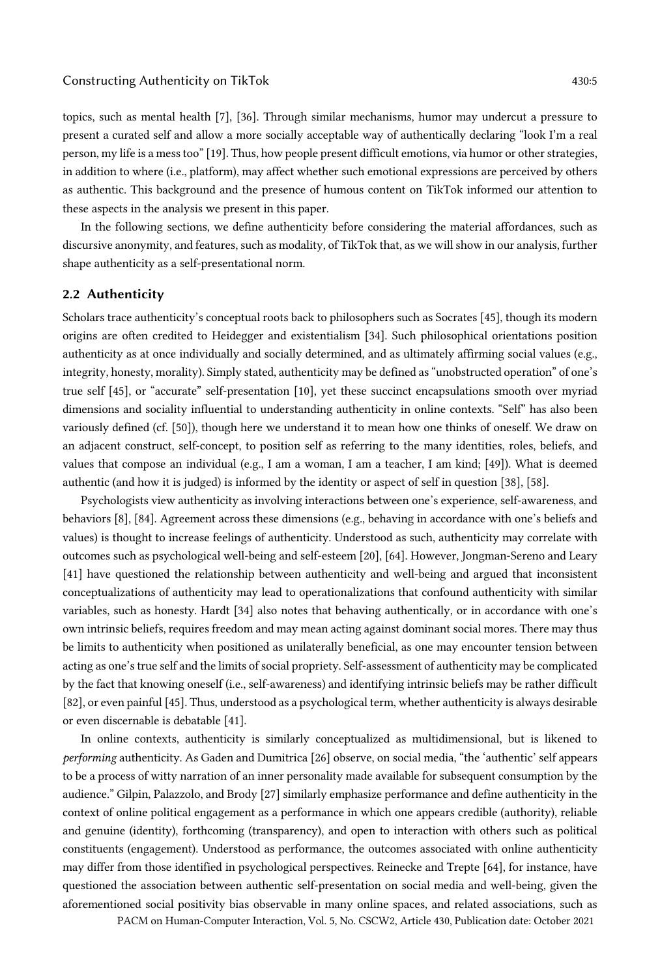these aspects in the analysis we present in this paper.

topics, such as mental health [7], [36]. Through similar mechanisms, humor may undercut a pressure to present a curated self and allow a more socially acceptable way of authentically declaring "look I'm a real person, my life is a mess too" [19]. Thus, how people present difficult emotions, via humor or other strategies, in addition to where (i.e., platform), may affect whether such emotional expressions are perceived by others

In the following sections, we define authenticity before considering the material affordances, such as discursive anonymity, and features, such as modality, of TikTok that, as we will show in our analysis, further shape authenticity as a self-presentational norm.

as authentic. This background and the presence of humous content on TikTok informed our attention to

# 2.2 Authenticity

Scholars trace authenticity's conceptual roots back to philosophers such as Socrates [45], though its modern origins are often credited to Heidegger and existentialism [34]. Such philosophical orientations position authenticity as at once individually and socially determined, and as ultimately affirming social values (e.g., integrity, honesty, morality). Simply stated, authenticity may be defined as "unobstructed operation" of one's true self [45], or "accurate" self-presentation [10], yet these succinct encapsulations smooth over myriad dimensions and sociality influential to understanding authenticity in online contexts. "Self" has also been variously defined (cf. [50]), though here we understand it to mean how one thinks of oneself. We draw on an adjacent construct, self-concept, to position self as referring to the many identities, roles, beliefs, and values that compose an individual (e.g., I am a woman, I am a teacher, I am kind; [49]). What is deemed authentic (and how it is judged) is informed by the identity or aspect of self in question [38], [58].

Psychologists view authenticity as involving interactions between one's experience, self-awareness, and behaviors [8], [84]. Agreement across these dimensions (e.g., behaving in accordance with one's beliefs and values) is thought to increase feelings of authenticity. Understood as such, authenticity may correlate with outcomes such as psychological well-being and self-esteem [20], [64]. However, Jongman-Sereno and Leary [41] have questioned the relationship between authenticity and well-being and argued that inconsistent conceptualizations of authenticity may lead to operationalizations that confound authenticity with similar variables, such as honesty. Hardt [34] also notes that behaving authentically, or in accordance with one's own intrinsic beliefs, requires freedom and may mean acting against dominant social mores. There may thus be limits to authenticity when positioned as unilaterally beneficial, as one may encounter tension between acting as one's true self and the limits of social propriety. Self-assessment of authenticity may be complicated by the fact that knowing oneself (i.e., self-awareness) and identifying intrinsic beliefs may be rather difficult [82], or even painful [45]. Thus, understood as a psychological term, whether authenticity is always desirable or even discernable is debatable [41].

In online contexts, authenticity is similarly conceptualized as multidimensional, but is likened to *performing* authenticity. As Gaden and Dumitrica [26] observe, on social media, "the 'authentic' self appears to be a process of witty narration of an inner personality made available for subsequent consumption by the audience." Gilpin, Palazzolo, and Brody [27] similarly emphasize performance and define authenticity in the context of online political engagement as a performance in which one appears credible (authority), reliable and genuine (identity), forthcoming (transparency), and open to interaction with others such as political constituents (engagement). Understood as performance, the outcomes associated with online authenticity may differ from those identified in psychological perspectives. Reinecke and Trepte [64], for instance, have questioned the association between authentic self-presentation on social media and well-being, given the aforementioned social positivity bias observable in many online spaces, and related associations, such as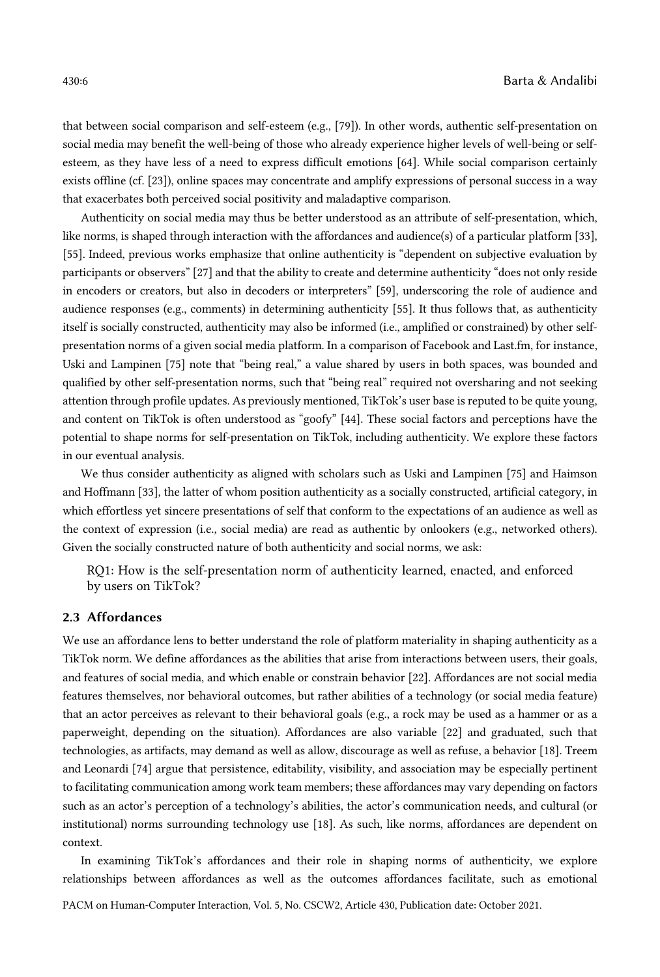that between social comparison and self-esteem (e.g., [79]). In other words, authentic self-presentation on social media may benefit the well-being of those who already experience higher levels of well-being or selfesteem, as they have less of a need to express difficult emotions [64]. While social comparison certainly exists offline (cf. [23]), online spaces may concentrate and amplify expressions of personal success in a way that exacerbates both perceived social positivity and maladaptive comparison.

Authenticity on social media may thus be better understood as an attribute of self-presentation, which, like norms, is shaped through interaction with the affordances and audience(s) of a particular platform [33], [55]. Indeed, previous works emphasize that online authenticity is "dependent on subjective evaluation by participants or observers" [27] and that the ability to create and determine authenticity "does not only reside in encoders or creators, but also in decoders or interpreters" [59], underscoring the role of audience and audience responses (e.g., comments) in determining authenticity [55]. It thus follows that, as authenticity itself is socially constructed, authenticity may also be informed (i.e., amplified or constrained) by other selfpresentation norms of a given social media platform. In a comparison of Facebook and Last.fm, for instance, Uski and Lampinen [75] note that "being real," a value shared by users in both spaces, was bounded and qualified by other self-presentation norms, such that "being real" required not oversharing and not seeking attention through profile updates. As previously mentioned, TikTok's user base is reputed to be quite young, and content on TikTok is often understood as "goofy" [44]. These social factors and perceptions have the potential to shape norms for self-presentation on TikTok, including authenticity. We explore these factors in our eventual analysis.

We thus consider authenticity as aligned with scholars such as Uski and Lampinen [75] and Haimson and Hoffmann [33], the latter of whom position authenticity as a socially constructed, artificial category, in which effortless yet sincere presentations of self that conform to the expectations of an audience as well as the context of expression (i.e., social media) are read as authentic by onlookers (e.g., networked others). Given the socially constructed nature of both authenticity and social norms, we ask:

RQ1: How is the self-presentation norm of authenticity learned, enacted, and enforced by users on TikTok?

# 2.3 Affordances

We use an affordance lens to better understand the role of platform materiality in shaping authenticity as a TikTok norm. We define affordances as the abilities that arise from interactions between users, their goals, and features of social media, and which enable or constrain behavior [22]. Affordances are not social media features themselves, nor behavioral outcomes, but rather abilities of a technology (or social media feature) that an actor perceives as relevant to their behavioral goals (e.g., a rock may be used as a hammer or as a paperweight, depending on the situation). Affordances are also variable [22] and graduated, such that technologies, as artifacts, may demand as well as allow, discourage as well as refuse, a behavior [18]. Treem and Leonardi [74] argue that persistence, editability, visibility, and association may be especially pertinent to facilitating communication among work team members; these affordances may vary depending on factors such as an actor's perception of a technology's abilities, the actor's communication needs, and cultural (or institutional) norms surrounding technology use [18]. As such, like norms, affordances are dependent on context.

In examining TikTok's affordances and their role in shaping norms of authenticity, we explore relationships between affordances as well as the outcomes affordances facilitate, such as emotional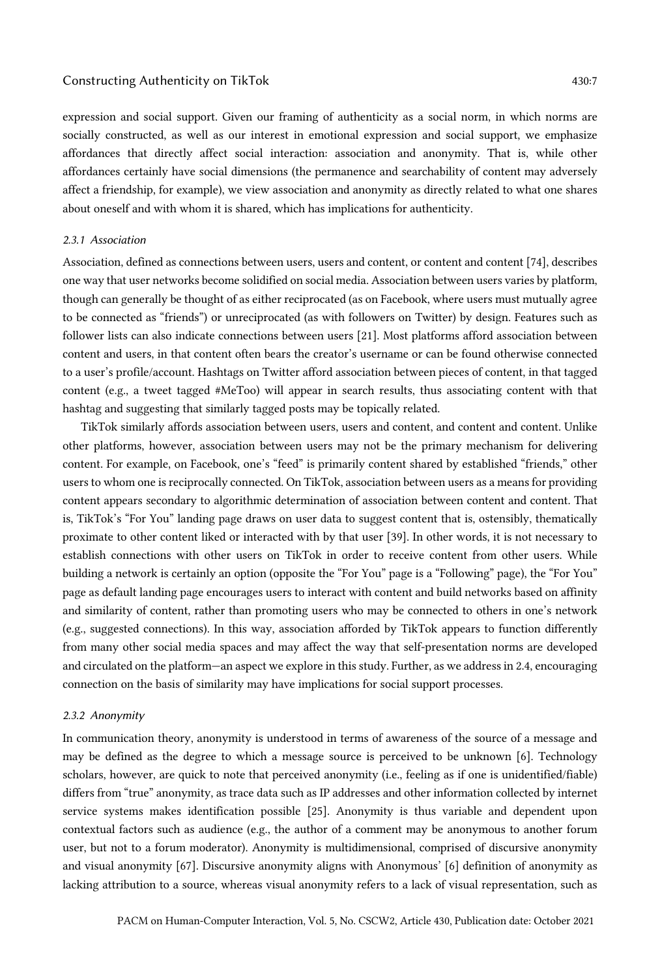### Constructing Authenticity on TikTok 430:7  $\frac{430}{7}$

expression and social support. Given our framing of authenticity as a social norm, in which norms are socially constructed, as well as our interest in emotional expression and social support, we emphasize affordances that directly affect social interaction: association and anonymity. That is, while other affordances certainly have social dimensions (the permanence and searchability of content may adversely affect a friendship, for example), we view association and anonymity as directly related to what one shares about oneself and with whom it is shared, which has implications for authenticity.

#### *2.3.1 Association*

Association, defined as connections between users, users and content, or content and content [74], describes one way that user networks become solidified on social media. Association between users varies by platform, though can generally be thought of as either reciprocated (as on Facebook, where users must mutually agree to be connected as "friends") or unreciprocated (as with followers on Twitter) by design. Features such as follower lists can also indicate connections between users [21]. Most platforms afford association between content and users, in that content often bears the creator's username or can be found otherwise connected to a user's profile/account. Hashtags on Twitter afford association between pieces of content, in that tagged content (e.g., a tweet tagged #MeToo) will appear in search results, thus associating content with that hashtag and suggesting that similarly tagged posts may be topically related.

TikTok similarly affords association between users, users and content, and content and content. Unlike other platforms, however, association between users may not be the primary mechanism for delivering content. For example, on Facebook, one's "feed" is primarily content shared by established "friends," other users to whom one is reciprocally connected. On TikTok, association between users as a means for providing content appears secondary to algorithmic determination of association between content and content. That is, TikTok's "For You" landing page draws on user data to suggest content that is, ostensibly, thematically proximate to other content liked or interacted with by that user [39]. In other words, it is not necessary to establish connections with other users on TikTok in order to receive content from other users. While building a network is certainly an option (opposite the "For You" page is a "Following" page), the "For You" page as default landing page encourages users to interact with content and build networks based on affinity and similarity of content, rather than promoting users who may be connected to others in one's network (e.g., suggested connections). In this way, association afforded by TikTok appears to function differently from many other social media spaces and may affect the way that self-presentation norms are developed and circulated on the platform—an aspect we explore in this study. Further, as we address in 2.4, encouraging connection on the basis of similarity may have implications for social support processes.

#### *2.3.2 Anonymity*

In communication theory, anonymity is understood in terms of awareness of the source of a message and may be defined as the degree to which a message source is perceived to be unknown [6]. Technology scholars, however, are quick to note that perceived anonymity (i.e., feeling as if one is unidentified/fiable) differs from "true" anonymity, as trace data such as IP addresses and other information collected by internet service systems makes identification possible [25]. Anonymity is thus variable and dependent upon contextual factors such as audience (e.g., the author of a comment may be anonymous to another forum user, but not to a forum moderator). Anonymity is multidimensional, comprised of discursive anonymity and visual anonymity [67]. Discursive anonymity aligns with Anonymous' [6] definition of anonymity as lacking attribution to a source, whereas visual anonymity refers to a lack of visual representation, such as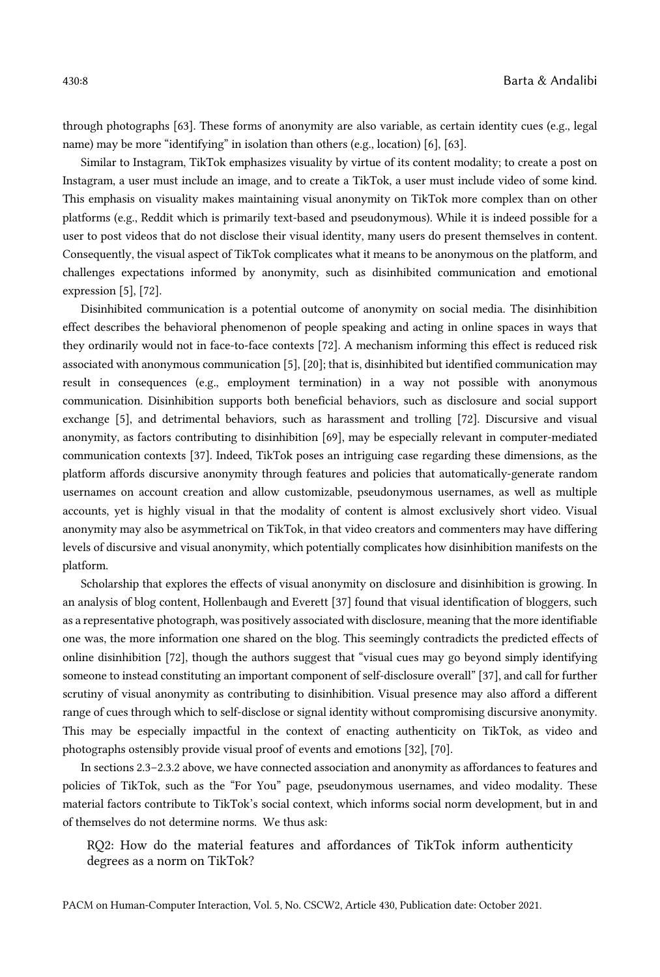through photographs [63]. These forms of anonymity are also variable, as certain identity cues (e.g., legal name) may be more "identifying" in isolation than others (e.g., location) [6], [63].

Similar to Instagram, TikTok emphasizes visuality by virtue of its content modality; to create a post on Instagram, a user must include an image, and to create a TikTok, a user must include video of some kind. This emphasis on visuality makes maintaining visual anonymity on TikTok more complex than on other platforms (e.g., Reddit which is primarily text-based and pseudonymous). While it is indeed possible for a user to post videos that do not disclose their visual identity, many users do present themselves in content. Consequently, the visual aspect of TikTok complicates what it means to be anonymous on the platform, and challenges expectations informed by anonymity, such as disinhibited communication and emotional expression [5], [72].

Disinhibited communication is a potential outcome of anonymity on social media. The disinhibition effect describes the behavioral phenomenon of people speaking and acting in online spaces in ways that they ordinarily would not in face-to-face contexts [72]. A mechanism informing this effect is reduced risk associated with anonymous communication [5], [20]; that is, disinhibited but identified communication may result in consequences (e.g., employment termination) in a way not possible with anonymous communication. Disinhibition supports both beneficial behaviors, such as disclosure and social support exchange [5], and detrimental behaviors, such as harassment and trolling [72]. Discursive and visual anonymity, as factors contributing to disinhibition [69], may be especially relevant in computer-mediated communication contexts [37]. Indeed, TikTok poses an intriguing case regarding these dimensions, as the platform affords discursive anonymity through features and policies that automatically-generate random usernames on account creation and allow customizable, pseudonymous usernames, as well as multiple accounts, yet is highly visual in that the modality of content is almost exclusively short video. Visual anonymity may also be asymmetrical on TikTok, in that video creators and commenters may have differing levels of discursive and visual anonymity, which potentially complicates how disinhibition manifests on the platform.

Scholarship that explores the effects of visual anonymity on disclosure and disinhibition is growing. In an analysis of blog content, Hollenbaugh and Everett [37] found that visual identification of bloggers, such as a representative photograph, was positively associated with disclosure, meaning that the more identifiable one was, the more information one shared on the blog. This seemingly contradicts the predicted effects of online disinhibition [72], though the authors suggest that "visual cues may go beyond simply identifying someone to instead constituting an important component of self-disclosure overall" [37], and call for further scrutiny of visual anonymity as contributing to disinhibition. Visual presence may also afford a different range of cues through which to self-disclose or signal identity without compromising discursive anonymity. This may be especially impactful in the context of enacting authenticity on TikTok, as video and photographs ostensibly provide visual proof of events and emotions [32], [70].

In sections 2.3–2.3.2 above, we have connected association and anonymity as affordances to features and policies of TikTok, such as the "For You" page, pseudonymous usernames, and video modality. These material factors contribute to TikTok's social context, which informs social norm development, but in and of themselves do not determine norms. We thus ask:

RQ2: How do the material features and affordances of TikTok inform authenticity degrees as a norm on TikTok?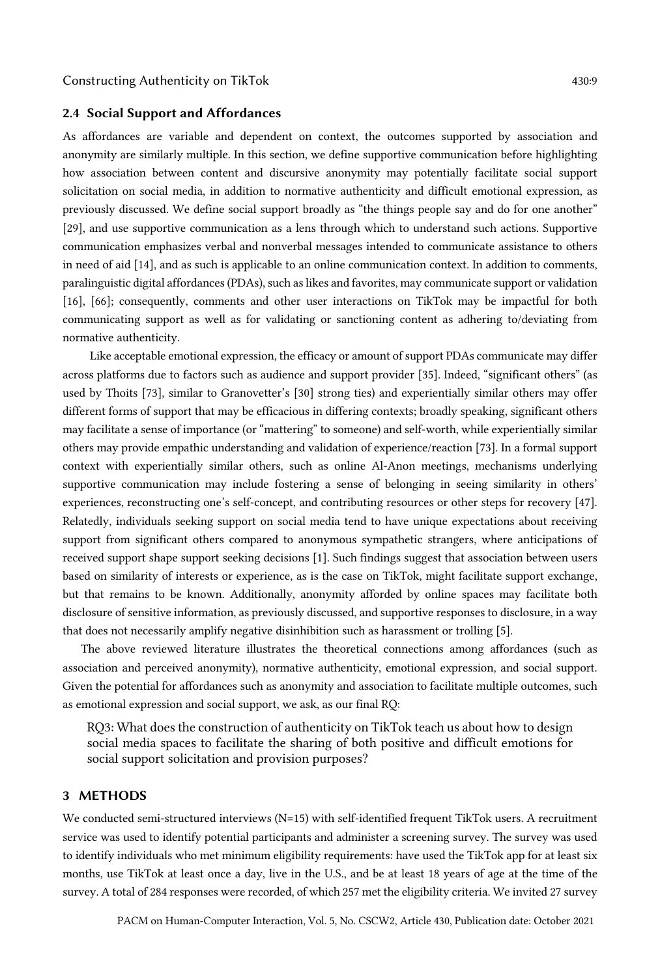### 2.4 Social Support and Affordances

As affordances are variable and dependent on context, the outcomes supported by association and anonymity are similarly multiple. In this section, we define supportive communication before highlighting how association between content and discursive anonymity may potentially facilitate social support solicitation on social media, in addition to normative authenticity and difficult emotional expression, as previously discussed. We define social support broadly as "the things people say and do for one another" [29], and use supportive communication as a lens through which to understand such actions. Supportive communication emphasizes verbal and nonverbal messages intended to communicate assistance to others in need of aid [14], and as such is applicable to an online communication context. In addition to comments, paralinguistic digital affordances (PDAs), such as likes and favorites, may communicate support or validation [16], [66]; consequently, comments and other user interactions on TikTok may be impactful for both communicating support as well as for validating or sanctioning content as adhering to/deviating from normative authenticity.

Like acceptable emotional expression, the efficacy or amount of support PDAs communicate may differ across platforms due to factors such as audience and support provider [35]. Indeed, "significant others" (as used by Thoits [73], similar to Granovetter's [30] strong ties) and experientially similar others may offer different forms of support that may be efficacious in differing contexts; broadly speaking, significant others may facilitate a sense of importance (or "mattering" to someone) and self-worth, while experientially similar others may provide empathic understanding and validation of experience/reaction [73]. In a formal support context with experientially similar others, such as online Al-Anon meetings, mechanisms underlying supportive communication may include fostering a sense of belonging in seeing similarity in others' experiences, reconstructing one's self-concept, and contributing resources or other steps for recovery [47]. Relatedly, individuals seeking support on social media tend to have unique expectations about receiving support from significant others compared to anonymous sympathetic strangers, where anticipations of received support shape support seeking decisions [1]. Such findings suggest that association between users based on similarity of interests or experience, as is the case on TikTok, might facilitate support exchange, but that remains to be known. Additionally, anonymity afforded by online spaces may facilitate both disclosure of sensitive information, as previously discussed, and supportive responses to disclosure, in a way that does not necessarily amplify negative disinhibition such as harassment or trolling [5].

The above reviewed literature illustrates the theoretical connections among affordances (such as association and perceived anonymity), normative authenticity, emotional expression, and social support. Given the potential for affordances such as anonymity and association to facilitate multiple outcomes, such as emotional expression and social support, we ask, as our final RQ:

RQ3: What does the construction of authenticity on TikTok teach us about how to design social media spaces to facilitate the sharing of both positive and difficult emotions for social support solicitation and provision purposes?

# 3 METHODS

We conducted semi-structured interviews (N=15) with self-identified frequent TikTok users. A recruitment service was used to identify potential participants and administer a screening survey. The survey was used to identify individuals who met minimum eligibility requirements: have used the TikTok app for at least six months, use TikTok at least once a day, live in the U.S., and be at least 18 years of age at the time of the survey. A total of 284 responses were recorded, of which 257 met the eligibility criteria. We invited 27 survey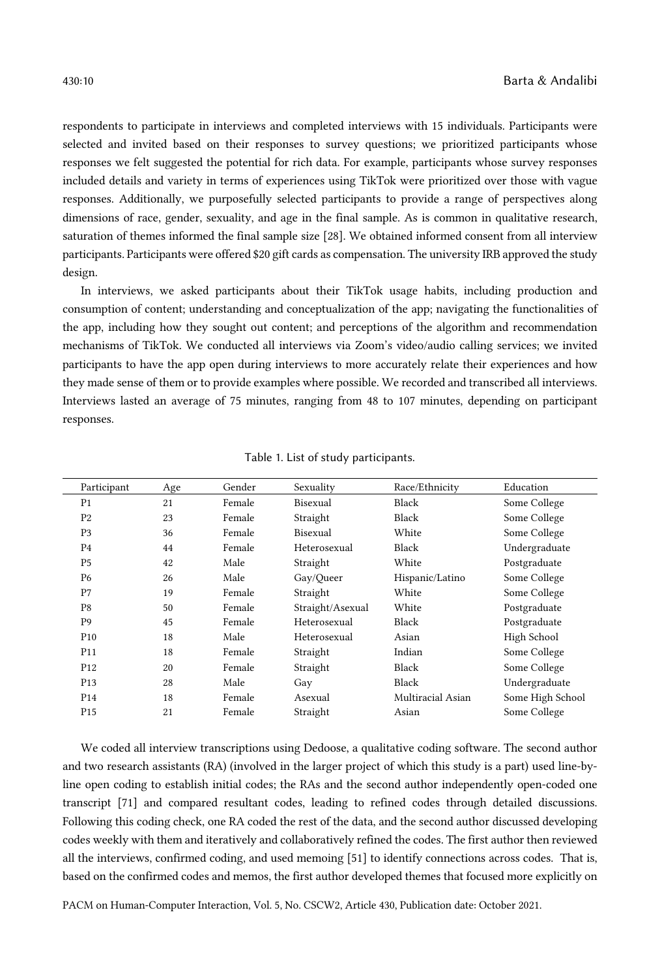respondents to participate in interviews and completed interviews with 15 individuals. Participants were selected and invited based on their responses to survey questions; we prioritized participants whose responses we felt suggested the potential for rich data. For example, participants whose survey responses included details and variety in terms of experiences using TikTok were prioritized over those with vague responses. Additionally, we purposefully selected participants to provide a range of perspectives along dimensions of race, gender, sexuality, and age in the final sample. As is common in qualitative research, saturation of themes informed the final sample size [28]. We obtained informed consent from all interview participants. Participants were offered \$20 gift cards as compensation. The university IRB approved the study design.

In interviews, we asked participants about their TikTok usage habits, including production and consumption of content; understanding and conceptualization of the app; navigating the functionalities of the app, including how they sought out content; and perceptions of the algorithm and recommendation mechanisms of TikTok. We conducted all interviews via Zoom's video/audio calling services; we invited participants to have the app open during interviews to more accurately relate their experiences and how they made sense of them or to provide examples where possible. We recorded and transcribed all interviews. Interviews lasted an average of 75 minutes, ranging from 48 to 107 minutes, depending on participant responses.

| Participant     | Age | Gender | Sexuality        | Race/Ethnicity    | Education        |
|-----------------|-----|--------|------------------|-------------------|------------------|
| P1              | 21  | Female | Bisexual         | Black             | Some College     |
| P <sub>2</sub>  | 23  | Female | Straight         | Black             | Some College     |
| P <sub>3</sub>  | 36  | Female | Bisexual         | White             | Some College     |
| P <sub>4</sub>  | 44  | Female | Heterosexual     | Black             | Undergraduate    |
| P <sub>5</sub>  | 42  | Male   | Straight         | White             | Postgraduate     |
| P6              | 26  | Male   | Gay/Queer        | Hispanic/Latino   | Some College     |
| P7              | 19  | Female | Straight         | White             | Some College     |
| P8              | 50  | Female | Straight/Asexual | White             | Postgraduate     |
| P <sub>9</sub>  | 45  | Female | Heterosexual     | Black             | Postgraduate     |
| P <sub>10</sub> | 18  | Male   | Heterosexual     | Asian             | High School      |
| P11             | 18  | Female | Straight         | Indian            | Some College     |
| P <sub>12</sub> | 20  | Female | Straight         | Black             | Some College     |
| P <sub>13</sub> | 28  | Male   | Gay              | Black             | Undergraduate    |
| P <sub>14</sub> | 18  | Female | Asexual          | Multiracial Asian | Some High School |
| P <sub>15</sub> | 21  | Female | Straight         | Asian             | Some College     |

Table 1. List of study participants.

We coded all interview transcriptions using Dedoose, a qualitative coding software. The second author and two research assistants (RA) (involved in the larger project of which this study is a part) used line-byline open coding to establish initial codes; the RAs and the second author independently open-coded one transcript [71] and compared resultant codes, leading to refined codes through detailed discussions. Following this coding check, one RA coded the rest of the data, and the second author discussed developing codes weekly with them and iteratively and collaboratively refined the codes. The first author then reviewed all the interviews, confirmed coding, and used memoing [51] to identify connections across codes. That is, based on the confirmed codes and memos, the first author developed themes that focused more explicitly on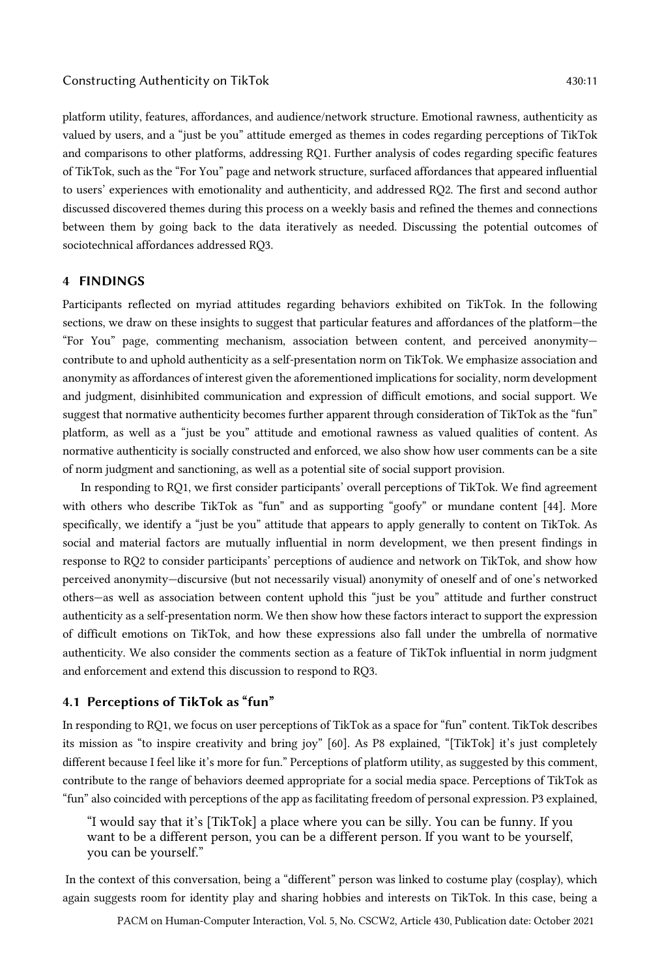platform utility, features, affordances, and audience/network structure. Emotional rawness, authenticity as valued by users, and a "just be you" attitude emerged as themes in codes regarding perceptions of TikTok and comparisons to other platforms, addressing RQ1. Further analysis of codes regarding specific features of TikTok, such as the "For You" page and network structure, surfaced affordances that appeared influential to users' experiences with emotionality and authenticity, and addressed RQ2. The first and second author discussed discovered themes during this process on a weekly basis and refined the themes and connections between them by going back to the data iteratively as needed. Discussing the potential outcomes of sociotechnical affordances addressed RQ3.

# 4 FINDINGS

Participants reflected on myriad attitudes regarding behaviors exhibited on TikTok. In the following sections, we draw on these insights to suggest that particular features and affordances of the platform—the "For You" page, commenting mechanism, association between content, and perceived anonymity contribute to and uphold authenticity as a self-presentation norm on TikTok. We emphasize association and anonymity as affordances of interest given the aforementioned implications for sociality, norm development and judgment, disinhibited communication and expression of difficult emotions, and social support. We suggest that normative authenticity becomes further apparent through consideration of TikTok as the "fun" platform, as well as a "just be you" attitude and emotional rawness as valued qualities of content. As normative authenticity is socially constructed and enforced, we also show how user comments can be a site of norm judgment and sanctioning, as well as a potential site of social support provision.

In responding to RQ1, we first consider participants' overall perceptions of TikTok. We find agreement with others who describe TikTok as "fun" and as supporting "goofy" or mundane content [44]. More specifically, we identify a "just be you" attitude that appears to apply generally to content on TikTok. As social and material factors are mutually influential in norm development, we then present findings in response to RQ2 to consider participants' perceptions of audience and network on TikTok, and show how perceived anonymity—discursive (but not necessarily visual) anonymity of oneself and of one's networked others—as well as association between content uphold this "just be you" attitude and further construct authenticity as a self-presentation norm. We then show how these factors interact to support the expression of difficult emotions on TikTok, and how these expressions also fall under the umbrella of normative authenticity. We also consider the comments section as a feature of TikTok influential in norm judgment and enforcement and extend this discussion to respond to RQ3.

# 4.1 Perceptions of TikTok as "fun"

In responding to RQ1, we focus on user perceptions of TikTok as a space for "fun" content. TikTok describes its mission as "to inspire creativity and bring joy" [60]. As P8 explained, "[TikTok] it's just completely different because I feel like it's more for fun." Perceptions of platform utility, as suggested by this comment, contribute to the range of behaviors deemed appropriate for a social media space. Perceptions of TikTok as "fun" also coincided with perceptions of the app as facilitating freedom of personal expression. P3 explained,

"I would say that it's [TikTok] a place where you can be silly. You can be funny. If you want to be a different person, you can be a different person. If you want to be yourself, you can be yourself."

In the context of this conversation, being a "different" person was linked to costume play (cosplay), which again suggests room for identity play and sharing hobbies and interests on TikTok. In this case, being a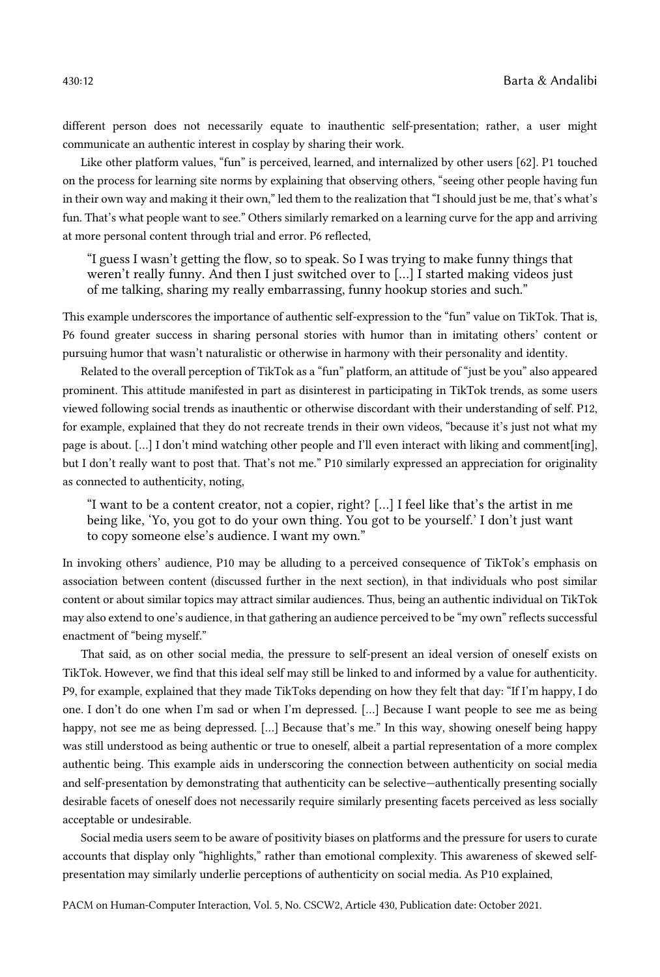different person does not necessarily equate to inauthentic self-presentation; rather, a user might communicate an authentic interest in cosplay by sharing their work.

Like other platform values, "fun" is perceived, learned, and internalized by other users [62]. P1 touched on the process for learning site norms by explaining that observing others, "seeing other people having fun in their own way and making it their own," led them to the realization that "I should just be me, that's what's fun. That's what people want to see." Others similarly remarked on a learning curve for the app and arriving at more personal content through trial and error. P6 reflected,

"I guess I wasn't getting the flow, so to speak. So I was trying to make funny things that weren't really funny. And then I just switched over to […] I started making videos just of me talking, sharing my really embarrassing, funny hookup stories and such."

This example underscores the importance of authentic self-expression to the "fun" value on TikTok. That is, P6 found greater success in sharing personal stories with humor than in imitating others' content or pursuing humor that wasn't naturalistic or otherwise in harmony with their personality and identity.

Related to the overall perception of TikTok as a "fun" platform, an attitude of "just be you" also appeared prominent. This attitude manifested in part as disinterest in participating in TikTok trends, as some users viewed following social trends as inauthentic or otherwise discordant with their understanding of self. P12, for example, explained that they do not recreate trends in their own videos, "because it's just not what my page is about. […] I don't mind watching other people and I'll even interact with liking and comment[ing], but I don't really want to post that. That's not me." P10 similarly expressed an appreciation for originality as connected to authenticity, noting,

"I want to be a content creator, not a copier, right? […] I feel like that's the artist in me being like, 'Yo, you got to do your own thing. You got to be yourself.' I don't just want to copy someone else's audience. I want my own."

In invoking others' audience, P10 may be alluding to a perceived consequence of TikTok's emphasis on association between content (discussed further in the next section), in that individuals who post similar content or about similar topics may attract similar audiences. Thus, being an authentic individual on TikTok may also extend to one's audience, in that gathering an audience perceived to be "my own" reflects successful enactment of "being myself."

That said, as on other social media, the pressure to self-present an ideal version of oneself exists on TikTok. However, we find that this ideal self may still be linked to and informed by a value for authenticity. P9, for example, explained that they made TikToks depending on how they felt that day: "If I'm happy, I do one. I don't do one when I'm sad or when I'm depressed. […] Because I want people to see me as being happy, not see me as being depressed. […] Because that's me." In this way, showing oneself being happy was still understood as being authentic or true to oneself, albeit a partial representation of a more complex authentic being. This example aids in underscoring the connection between authenticity on social media and self-presentation by demonstrating that authenticity can be selective—authentically presenting socially desirable facets of oneself does not necessarily require similarly presenting facets perceived as less socially acceptable or undesirable.

Social media users seem to be aware of positivity biases on platforms and the pressure for users to curate accounts that display only "highlights," rather than emotional complexity. This awareness of skewed selfpresentation may similarly underlie perceptions of authenticity on social media. As P10 explained,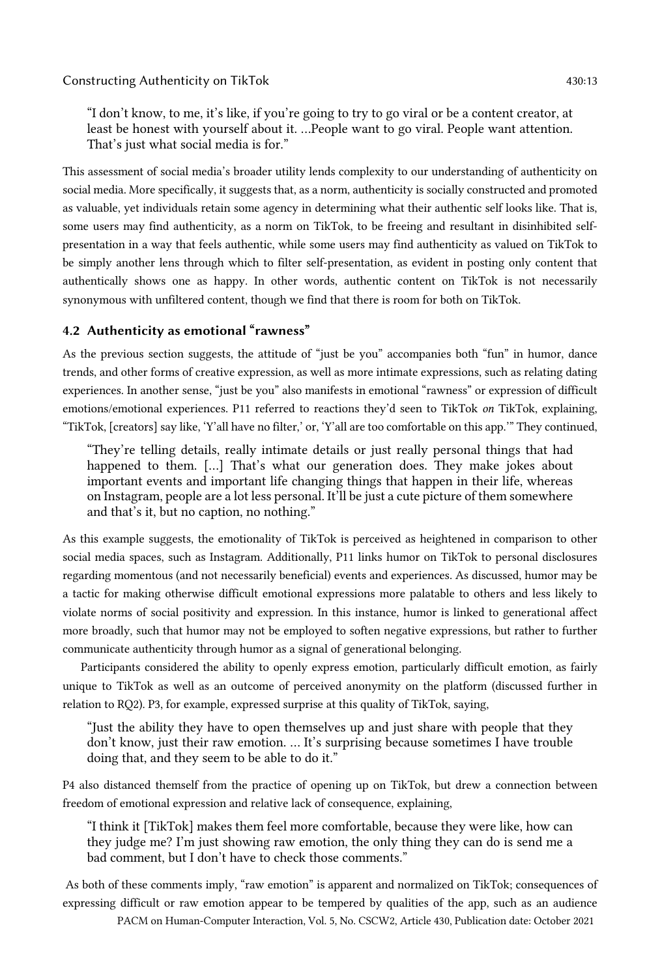"I don't know, to me, it's like, if you're going to try to go viral or be a content creator, at least be honest with yourself about it. …People want to go viral. People want attention. That's just what social media is for."

This assessment of social media's broader utility lends complexity to our understanding of authenticity on social media. More specifically, it suggests that, as a norm, authenticity is socially constructed and promoted as valuable, yet individuals retain some agency in determining what their authentic self looks like. That is, some users may find authenticity, as a norm on TikTok, to be freeing and resultant in disinhibited selfpresentation in a way that feels authentic, while some users may find authenticity as valued on TikTok to be simply another lens through which to filter self-presentation, as evident in posting only content that authentically shows one as happy. In other words, authentic content on TikTok is not necessarily synonymous with unfiltered content, though we find that there is room for both on TikTok.

# 4.2 Authenticity as emotional "rawness"

As the previous section suggests, the attitude of "just be you" accompanies both "fun" in humor, dance trends, and other forms of creative expression, as well as more intimate expressions, such as relating dating experiences. In another sense, "just be you" also manifests in emotional "rawness" or expression of difficult emotions/emotional experiences. P11 referred to reactions they'd seen to TikTok *on* TikTok, explaining, "TikTok, [creators] say like, 'Y'all have no filter,' or, 'Y'all are too comfortable on this app.'" They continued,

"They're telling details, really intimate details or just really personal things that had happened to them. […] That's what our generation does. They make jokes about important events and important life changing things that happen in their life, whereas on Instagram, people are a lot less personal. It'll be just a cute picture of them somewhere and that's it, but no caption, no nothing."

As this example suggests, the emotionality of TikTok is perceived as heightened in comparison to other social media spaces, such as Instagram. Additionally, P11 links humor on TikTok to personal disclosures regarding momentous (and not necessarily beneficial) events and experiences. As discussed, humor may be a tactic for making otherwise difficult emotional expressions more palatable to others and less likely to violate norms of social positivity and expression. In this instance, humor is linked to generational affect more broadly, such that humor may not be employed to soften negative expressions, but rather to further communicate authenticity through humor as a signal of generational belonging.

Participants considered the ability to openly express emotion, particularly difficult emotion, as fairly unique to TikTok as well as an outcome of perceived anonymity on the platform (discussed further in relation to RQ2). P3, for example, expressed surprise at this quality of TikTok, saying,

"Just the ability they have to open themselves up and just share with people that they don't know, just their raw emotion. … It's surprising because sometimes I have trouble doing that, and they seem to be able to do it."

P4 also distanced themself from the practice of opening up on TikTok, but drew a connection between freedom of emotional expression and relative lack of consequence, explaining,

"I think it [TikTok] makes them feel more comfortable, because they were like, how can they judge me? I'm just showing raw emotion, the only thing they can do is send me a bad comment, but I don't have to check those comments."

As both of these comments imply, "raw emotion" is apparent and normalized on TikTok; consequences of expressing difficult or raw emotion appear to be tempered by qualities of the app, such as an audience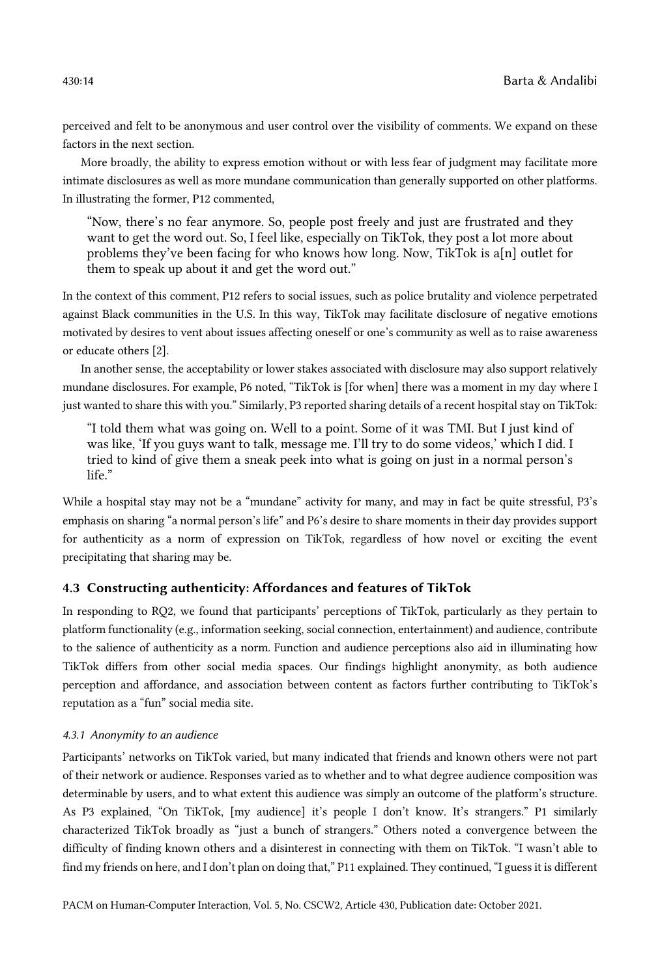perceived and felt to be anonymous and user control over the visibility of comments. We expand on these factors in the next section.

More broadly, the ability to express emotion without or with less fear of judgment may facilitate more intimate disclosures as well as more mundane communication than generally supported on other platforms. In illustrating the former, P12 commented,

"Now, there's no fear anymore. So, people post freely and just are frustrated and they want to get the word out. So, I feel like, especially on TikTok, they post a lot more about problems they've been facing for who knows how long. Now, TikTok is a[n] outlet for them to speak up about it and get the word out."

In the context of this comment, P12 refers to social issues, such as police brutality and violence perpetrated against Black communities in the U.S. In this way, TikTok may facilitate disclosure of negative emotions motivated by desires to vent about issues affecting oneself or one's community as well as to raise awareness or educate others [2].

In another sense, the acceptability or lower stakes associated with disclosure may also support relatively mundane disclosures. For example, P6 noted, "TikTok is [for when] there was a moment in my day where I just wanted to share this with you." Similarly, P3 reported sharing details of a recent hospital stay on TikTok:

"I told them what was going on. Well to a point. Some of it was TMI. But I just kind of was like, 'If you guys want to talk, message me. I'll try to do some videos,' which I did. I tried to kind of give them a sneak peek into what is going on just in a normal person's life."

While a hospital stay may not be a "mundane" activity for many, and may in fact be quite stressful, P3's emphasis on sharing "a normal person's life" and P6's desire to share moments in their day provides support for authenticity as a norm of expression on TikTok, regardless of how novel or exciting the event precipitating that sharing may be.

# 4.3 Constructing authenticity: Affordances and features of TikTok

In responding to RQ2, we found that participants' perceptions of TikTok, particularly as they pertain to platform functionality (e.g., information seeking, social connection, entertainment) and audience, contribute to the salience of authenticity as a norm. Function and audience perceptions also aid in illuminating how TikTok differs from other social media spaces. Our findings highlight anonymity, as both audience perception and affordance, and association between content as factors further contributing to TikTok's reputation as a "fun" social media site.

# *4.3.1 Anonymity to an audience*

Participants' networks on TikTok varied, but many indicated that friends and known others were not part of their network or audience. Responses varied as to whether and to what degree audience composition was determinable by users, and to what extent this audience was simply an outcome of the platform's structure. As P3 explained, "On TikTok, [my audience] it's people I don't know. It's strangers." P1 similarly characterized TikTok broadly as "just a bunch of strangers." Others noted a convergence between the difficulty of finding known others and a disinterest in connecting with them on TikTok. "I wasn't able to find my friends on here, and I don't plan on doing that," P11 explained. They continued, "I guess it is different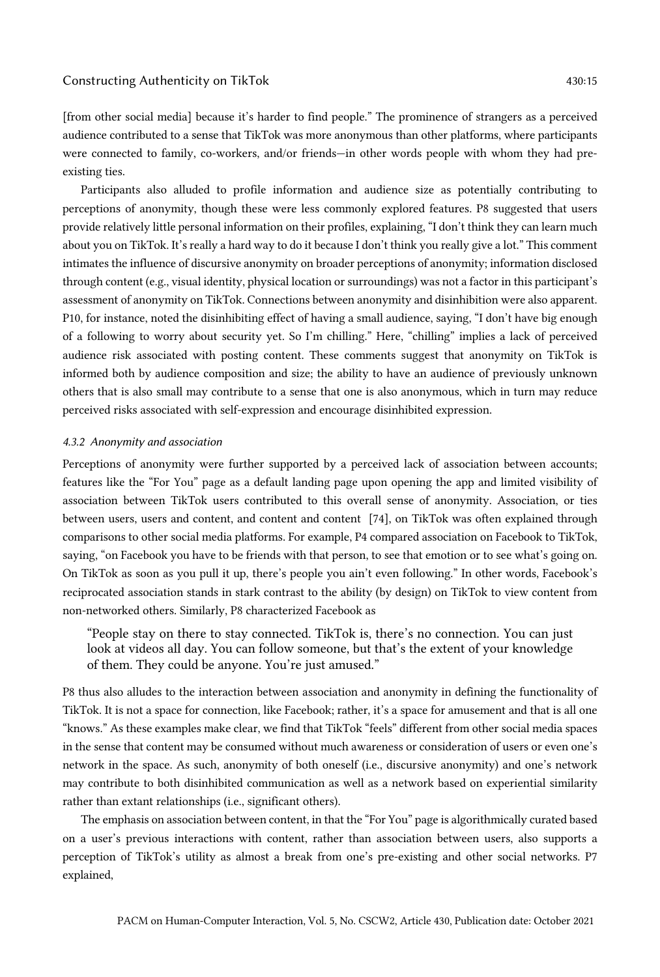[from other social media] because it's harder to find people." The prominence of strangers as a perceived audience contributed to a sense that TikTok was more anonymous than other platforms, where participants were connected to family, co-workers, and/or friends—in other words people with whom they had preexisting ties.

Participants also alluded to profile information and audience size as potentially contributing to perceptions of anonymity, though these were less commonly explored features. P8 suggested that users provide relatively little personal information on their profiles, explaining, "I don't think they can learn much about you on TikTok. It's really a hard way to do it because I don't think you really give a lot." This comment intimates the influence of discursive anonymity on broader perceptions of anonymity; information disclosed through content (e.g., visual identity, physical location or surroundings) was not a factor in this participant's assessment of anonymity on TikTok. Connections between anonymity and disinhibition were also apparent. P10, for instance, noted the disinhibiting effect of having a small audience, saying, "I don't have big enough of a following to worry about security yet. So I'm chilling." Here, "chilling" implies a lack of perceived audience risk associated with posting content. These comments suggest that anonymity on TikTok is informed both by audience composition and size; the ability to have an audience of previously unknown others that is also small may contribute to a sense that one is also anonymous, which in turn may reduce perceived risks associated with self-expression and encourage disinhibited expression.

#### *4.3.2 Anonymity and association*

Perceptions of anonymity were further supported by a perceived lack of association between accounts; features like the "For You" page as a default landing page upon opening the app and limited visibility of association between TikTok users contributed to this overall sense of anonymity. Association, or ties between users, users and content, and content and content [74], on TikTok was often explained through comparisons to other social media platforms. For example, P4 compared association on Facebook to TikTok, saying, "on Facebook you have to be friends with that person, to see that emotion or to see what's going on. On TikTok as soon as you pull it up, there's people you ain't even following." In other words, Facebook's reciprocated association stands in stark contrast to the ability (by design) on TikTok to view content from non-networked others. Similarly, P8 characterized Facebook as

"People stay on there to stay connected. TikTok is, there's no connection. You can just look at videos all day. You can follow someone, but that's the extent of your knowledge of them. They could be anyone. You're just amused."

P8 thus also alludes to the interaction between association and anonymity in defining the functionality of TikTok. It is not a space for connection, like Facebook; rather, it's a space for amusement and that is all one "knows." As these examples make clear, we find that TikTok "feels" different from other social media spaces in the sense that content may be consumed without much awareness or consideration of users or even one's network in the space. As such, anonymity of both oneself (i.e., discursive anonymity) and one's network may contribute to both disinhibited communication as well as a network based on experiential similarity rather than extant relationships (i.e., significant others).

The emphasis on association between content, in that the "For You" page is algorithmically curated based on a user's previous interactions with content, rather than association between users, also supports a perception of TikTok's utility as almost a break from one's pre-existing and other social networks. P7 explained,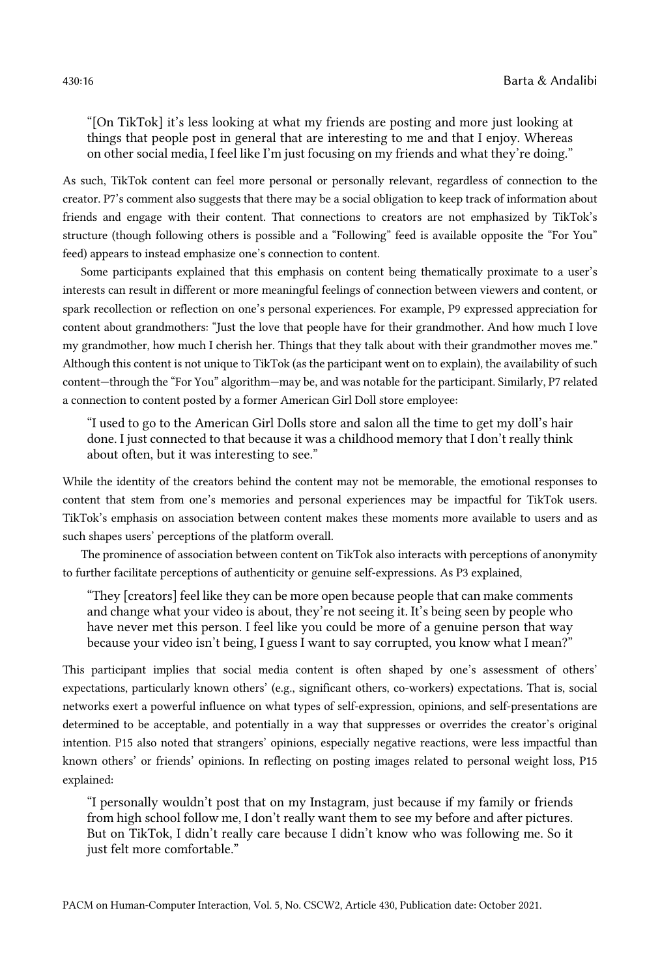"[On TikTok] it's less looking at what my friends are posting and more just looking at things that people post in general that are interesting to me and that I enjoy. Whereas on other social media, I feel like I'm just focusing on my friends and what they're doing."

As such, TikTok content can feel more personal or personally relevant, regardless of connection to the creator. P7's comment also suggests that there may be a social obligation to keep track of information about friends and engage with their content. That connections to creators are not emphasized by TikTok's structure (though following others is possible and a "Following" feed is available opposite the "For You" feed) appears to instead emphasize one's connection to content.

Some participants explained that this emphasis on content being thematically proximate to a user's interests can result in different or more meaningful feelings of connection between viewers and content, or spark recollection or reflection on one's personal experiences. For example, P9 expressed appreciation for content about grandmothers: "Just the love that people have for their grandmother. And how much I love my grandmother, how much I cherish her. Things that they talk about with their grandmother moves me." Although this content is not unique to TikTok (as the participant went on to explain), the availability of such content—through the "For You" algorithm—may be, and was notable for the participant. Similarly, P7 related a connection to content posted by a former American Girl Doll store employee:

"I used to go to the American Girl Dolls store and salon all the time to get my doll's hair done. I just connected to that because it was a childhood memory that I don't really think about often, but it was interesting to see."

While the identity of the creators behind the content may not be memorable, the emotional responses to content that stem from one's memories and personal experiences may be impactful for TikTok users. TikTok's emphasis on association between content makes these moments more available to users and as such shapes users' perceptions of the platform overall.

The prominence of association between content on TikTok also interacts with perceptions of anonymity to further facilitate perceptions of authenticity or genuine self-expressions. As P3 explained,

"They [creators] feel like they can be more open because people that can make comments and change what your video is about, they're not seeing it. It's being seen by people who have never met this person. I feel like you could be more of a genuine person that way because your video isn't being, I guess I want to say corrupted, you know what I mean?"

This participant implies that social media content is often shaped by one's assessment of others' expectations, particularly known others' (e.g., significant others, co-workers) expectations. That is, social networks exert a powerful influence on what types of self-expression, opinions, and self-presentations are determined to be acceptable, and potentially in a way that suppresses or overrides the creator's original intention. P15 also noted that strangers' opinions, especially negative reactions, were less impactful than known others' or friends' opinions. In reflecting on posting images related to personal weight loss, P15 explained:

"I personally wouldn't post that on my Instagram, just because if my family or friends from high school follow me, I don't really want them to see my before and after pictures. But on TikTok, I didn't really care because I didn't know who was following me. So it just felt more comfortable."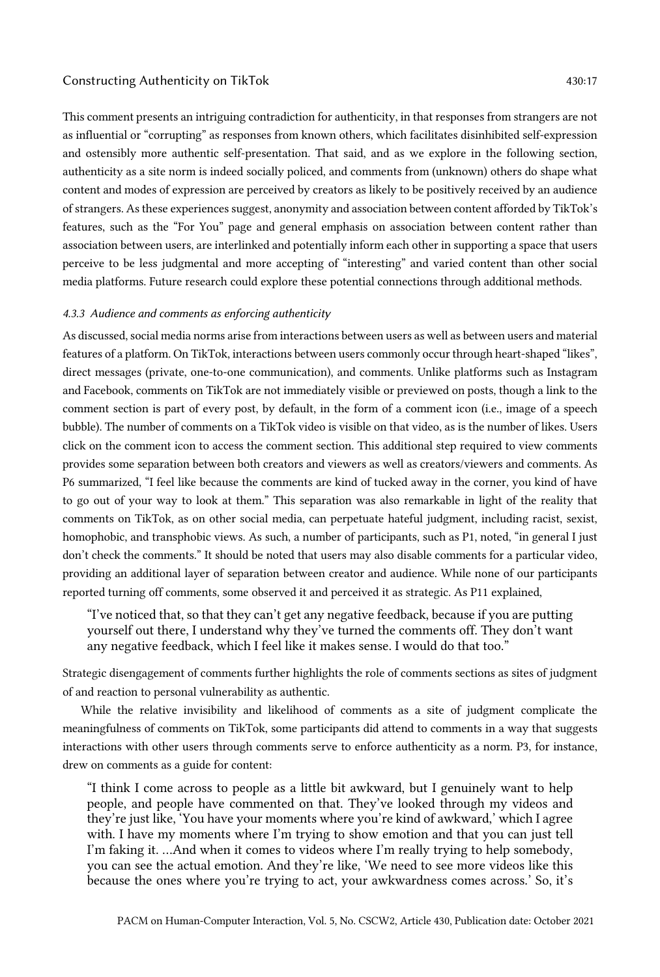This comment presents an intriguing contradiction for authenticity, in that responses from strangers are not as influential or "corrupting" as responses from known others, which facilitates disinhibited self-expression and ostensibly more authentic self-presentation. That said, and as we explore in the following section, authenticity as a site norm is indeed socially policed, and comments from (unknown) others do shape what content and modes of expression are perceived by creators as likely to be positively received by an audience of strangers. As these experiences suggest, anonymity and association between content afforded by TikTok's features, such as the "For You" page and general emphasis on association between content rather than association between users, are interlinked and potentially inform each other in supporting a space that users perceive to be less judgmental and more accepting of "interesting" and varied content than other social media platforms. Future research could explore these potential connections through additional methods.

# *4.3.3 Audience and comments as enforcing authenticity*

As discussed, social media norms arise from interactions between users as well as between users and material features of a platform. On TikTok, interactions between users commonly occur through heart-shaped "likes", direct messages (private, one-to-one communication), and comments. Unlike platforms such as Instagram and Facebook, comments on TikTok are not immediately visible or previewed on posts, though a link to the comment section is part of every post, by default, in the form of a comment icon (i.e., image of a speech bubble). The number of comments on a TikTok video is visible on that video, as is the number of likes. Users click on the comment icon to access the comment section. This additional step required to view comments provides some separation between both creators and viewers as well as creators/viewers and comments. As P6 summarized, "I feel like because the comments are kind of tucked away in the corner, you kind of have to go out of your way to look at them." This separation was also remarkable in light of the reality that comments on TikTok, as on other social media, can perpetuate hateful judgment, including racist, sexist, homophobic, and transphobic views. As such, a number of participants, such as P1, noted, "in general I just don't check the comments." It should be noted that users may also disable comments for a particular video, providing an additional layer of separation between creator and audience. While none of our participants reported turning off comments, some observed it and perceived it as strategic. As P11 explained,

"I've noticed that, so that they can't get any negative feedback, because if you are putting yourself out there, I understand why they've turned the comments off. They don't want any negative feedback, which I feel like it makes sense. I would do that too."

Strategic disengagement of comments further highlights the role of comments sections as sites of judgment of and reaction to personal vulnerability as authentic.

While the relative invisibility and likelihood of comments as a site of judgment complicate the meaningfulness of comments on TikTok, some participants did attend to comments in a way that suggests interactions with other users through comments serve to enforce authenticity as a norm. P3, for instance, drew on comments as a guide for content:

"I think I come across to people as a little bit awkward, but I genuinely want to help people, and people have commented on that. They've looked through my videos and they're just like, 'You have your moments where you're kind of awkward,' which I agree with. I have my moments where I'm trying to show emotion and that you can just tell I'm faking it. …And when it comes to videos where I'm really trying to help somebody, you can see the actual emotion. And they're like, 'We need to see more videos like this because the ones where you're trying to act, your awkwardness comes across.' So, it's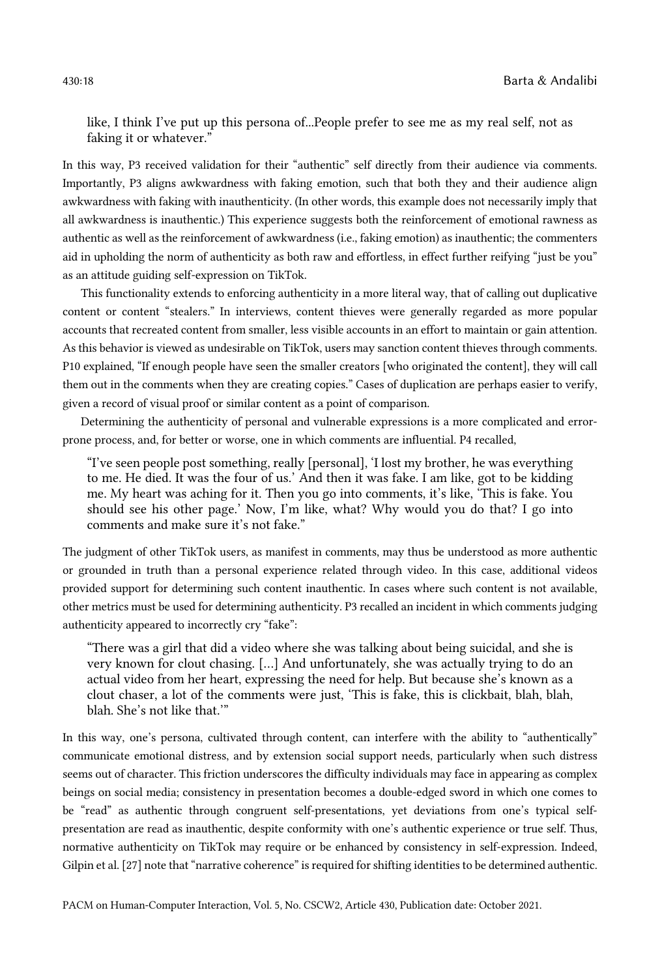430:18 Barta & Andalibi

like, I think I've put up this persona of...People prefer to see me as my real self, not as faking it or whatever."

In this way, P3 received validation for their "authentic" self directly from their audience via comments. Importantly, P3 aligns awkwardness with faking emotion, such that both they and their audience align awkwardness with faking with inauthenticity. (In other words, this example does not necessarily imply that all awkwardness is inauthentic.) This experience suggests both the reinforcement of emotional rawness as authentic as well as the reinforcement of awkwardness (i.e., faking emotion) as inauthentic; the commenters aid in upholding the norm of authenticity as both raw and effortless, in effect further reifying "just be you" as an attitude guiding self-expression on TikTok.

This functionality extends to enforcing authenticity in a more literal way, that of calling out duplicative content or content "stealers." In interviews, content thieves were generally regarded as more popular accounts that recreated content from smaller, less visible accounts in an effort to maintain or gain attention. As this behavior is viewed as undesirable on TikTok, users may sanction content thieves through comments. P10 explained, "If enough people have seen the smaller creators [who originated the content], they will call them out in the comments when they are creating copies." Cases of duplication are perhaps easier to verify, given a record of visual proof or similar content as a point of comparison.

Determining the authenticity of personal and vulnerable expressions is a more complicated and errorprone process, and, for better or worse, one in which comments are influential. P4 recalled,

"I've seen people post something, really [personal], 'I lost my brother, he was everything to me. He died. It was the four of us.' And then it was fake. I am like, got to be kidding me. My heart was aching for it. Then you go into comments, it's like, 'This is fake. You should see his other page.' Now, I'm like, what? Why would you do that? I go into comments and make sure it's not fake."

The judgment of other TikTok users, as manifest in comments, may thus be understood as more authentic or grounded in truth than a personal experience related through video. In this case, additional videos provided support for determining such content inauthentic. In cases where such content is not available, other metrics must be used for determining authenticity. P3 recalled an incident in which comments judging authenticity appeared to incorrectly cry "fake":

"There was a girl that did a video where she was talking about being suicidal, and she is very known for clout chasing. […] And unfortunately, she was actually trying to do an actual video from her heart, expressing the need for help. But because she's known as a clout chaser, a lot of the comments were just, 'This is fake, this is clickbait, blah, blah, blah. She's not like that.'"

In this way, one's persona, cultivated through content, can interfere with the ability to "authentically" communicate emotional distress, and by extension social support needs, particularly when such distress seems out of character. This friction underscores the difficulty individuals may face in appearing as complex beings on social media; consistency in presentation becomes a double-edged sword in which one comes to be "read" as authentic through congruent self-presentations, yet deviations from one's typical selfpresentation are read as inauthentic, despite conformity with one's authentic experience or true self. Thus, normative authenticity on TikTok may require or be enhanced by consistency in self-expression. Indeed, Gilpin et al. [27] note that "narrative coherence" is required for shifting identities to be determined authentic.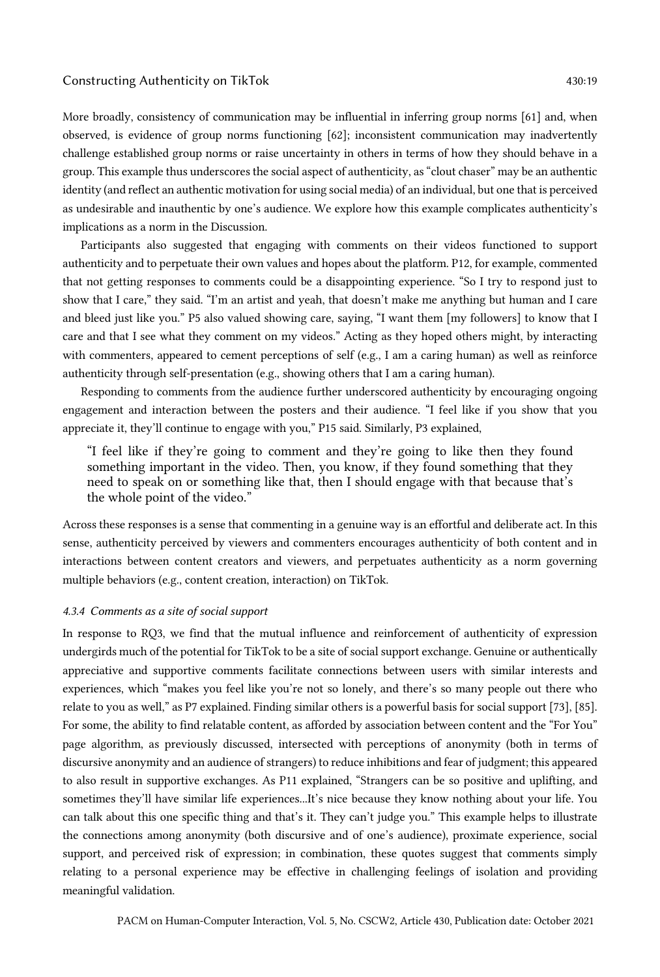More broadly, consistency of communication may be influential in inferring group norms [61] and, when observed, is evidence of group norms functioning [62]; inconsistent communication may inadvertently challenge established group norms or raise uncertainty in others in terms of how they should behave in a group. This example thus underscores the social aspect of authenticity, as "clout chaser" may be an authentic identity (and reflect an authentic motivation for using social media) of an individual, but one that is perceived as undesirable and inauthentic by one's audience. We explore how this example complicates authenticity's implications as a norm in the Discussion.

Participants also suggested that engaging with comments on their videos functioned to support authenticity and to perpetuate their own values and hopes about the platform. P12, for example, commented that not getting responses to comments could be a disappointing experience. "So I try to respond just to show that I care," they said. "I'm an artist and yeah, that doesn't make me anything but human and I care and bleed just like you." P5 also valued showing care, saying, "I want them [my followers] to know that I care and that I see what they comment on my videos." Acting as they hoped others might, by interacting with commenters, appeared to cement perceptions of self (e.g., I am a caring human) as well as reinforce authenticity through self-presentation (e.g., showing others that I am a caring human).

Responding to comments from the audience further underscored authenticity by encouraging ongoing engagement and interaction between the posters and their audience. "I feel like if you show that you appreciate it, they'll continue to engage with you," P15 said. Similarly, P3 explained,

"I feel like if they're going to comment and they're going to like then they found something important in the video. Then, you know, if they found something that they need to speak on or something like that, then I should engage with that because that's the whole point of the video."

Across these responses is a sense that commenting in a genuine way is an effortful and deliberate act. In this sense, authenticity perceived by viewers and commenters encourages authenticity of both content and in interactions between content creators and viewers, and perpetuates authenticity as a norm governing multiple behaviors (e.g., content creation, interaction) on TikTok.

### *4.3.4 Comments as a site of social support*

In response to RQ3, we find that the mutual influence and reinforcement of authenticity of expression undergirds much of the potential for TikTok to be a site of social support exchange. Genuine or authentically appreciative and supportive comments facilitate connections between users with similar interests and experiences, which "makes you feel like you're not so lonely, and there's so many people out there who relate to you as well," as P7 explained. Finding similar others is a powerful basis for social support [73], [85]. For some, the ability to find relatable content, as afforded by association between content and the "For You" page algorithm, as previously discussed, intersected with perceptions of anonymity (both in terms of discursive anonymity and an audience of strangers) to reduce inhibitions and fear of judgment; this appeared to also result in supportive exchanges. As P11 explained, "Strangers can be so positive and uplifting, and sometimes they'll have similar life experiences...It's nice because they know nothing about your life. You can talk about this one specific thing and that's it. They can't judge you." This example helps to illustrate the connections among anonymity (both discursive and of one's audience), proximate experience, social support, and perceived risk of expression; in combination, these quotes suggest that comments simply relating to a personal experience may be effective in challenging feelings of isolation and providing meaningful validation.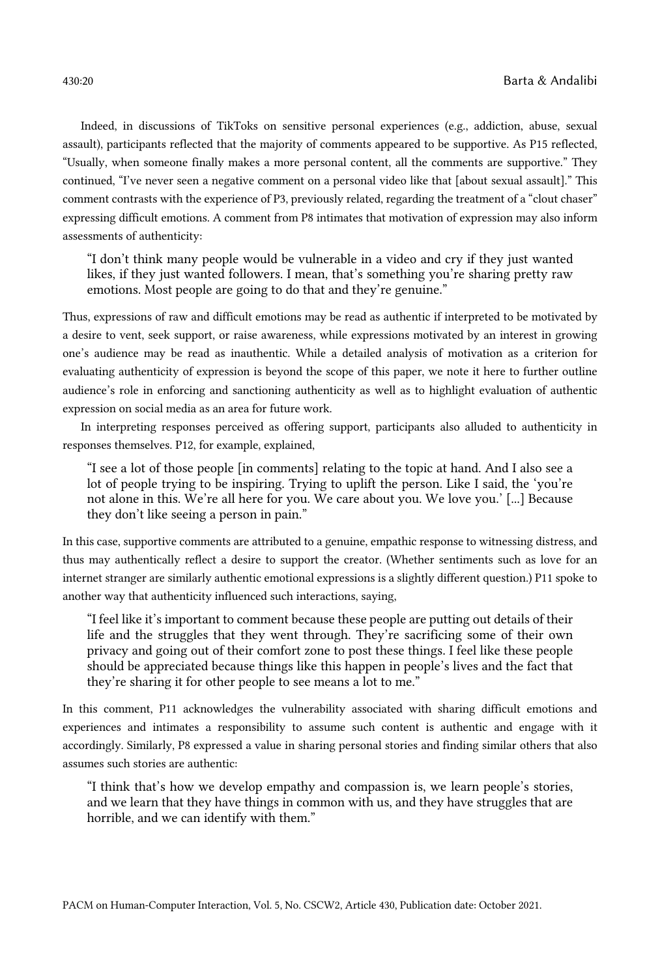Indeed, in discussions of TikToks on sensitive personal experiences (e.g., addiction, abuse, sexual assault), participants reflected that the majority of comments appeared to be supportive. As P15 reflected, "Usually, when someone finally makes a more personal content, all the comments are supportive." They continued, "I've never seen a negative comment on a personal video like that [about sexual assault]." This comment contrasts with the experience of P3, previously related, regarding the treatment of a "clout chaser" expressing difficult emotions. A comment from P8 intimates that motivation of expression may also inform assessments of authenticity:

"I don't think many people would be vulnerable in a video and cry if they just wanted likes, if they just wanted followers. I mean, that's something you're sharing pretty raw emotions. Most people are going to do that and they're genuine."

Thus, expressions of raw and difficult emotions may be read as authentic if interpreted to be motivated by a desire to vent, seek support, or raise awareness, while expressions motivated by an interest in growing one's audience may be read as inauthentic. While a detailed analysis of motivation as a criterion for evaluating authenticity of expression is beyond the scope of this paper, we note it here to further outline audience's role in enforcing and sanctioning authenticity as well as to highlight evaluation of authentic expression on social media as an area for future work.

In interpreting responses perceived as offering support, participants also alluded to authenticity in responses themselves. P12, for example, explained,

"I see a lot of those people [in comments] relating to the topic at hand. And I also see a lot of people trying to be inspiring. Trying to uplift the person. Like I said, the 'you're not alone in this. We're all here for you. We care about you. We love you.' [...] Because they don't like seeing a person in pain."

In this case, supportive comments are attributed to a genuine, empathic response to witnessing distress, and thus may authentically reflect a desire to support the creator. (Whether sentiments such as love for an internet stranger are similarly authentic emotional expressions is a slightly different question.) P11 spoke to another way that authenticity influenced such interactions, saying,

"I feel like it's important to comment because these people are putting out details of their life and the struggles that they went through. They're sacrificing some of their own privacy and going out of their comfort zone to post these things. I feel like these people should be appreciated because things like this happen in people's lives and the fact that they're sharing it for other people to see means a lot to me."

In this comment, P11 acknowledges the vulnerability associated with sharing difficult emotions and experiences and intimates a responsibility to assume such content is authentic and engage with it accordingly. Similarly, P8 expressed a value in sharing personal stories and finding similar others that also assumes such stories are authentic:

"I think that's how we develop empathy and compassion is, we learn people's stories, and we learn that they have things in common with us, and they have struggles that are horrible, and we can identify with them."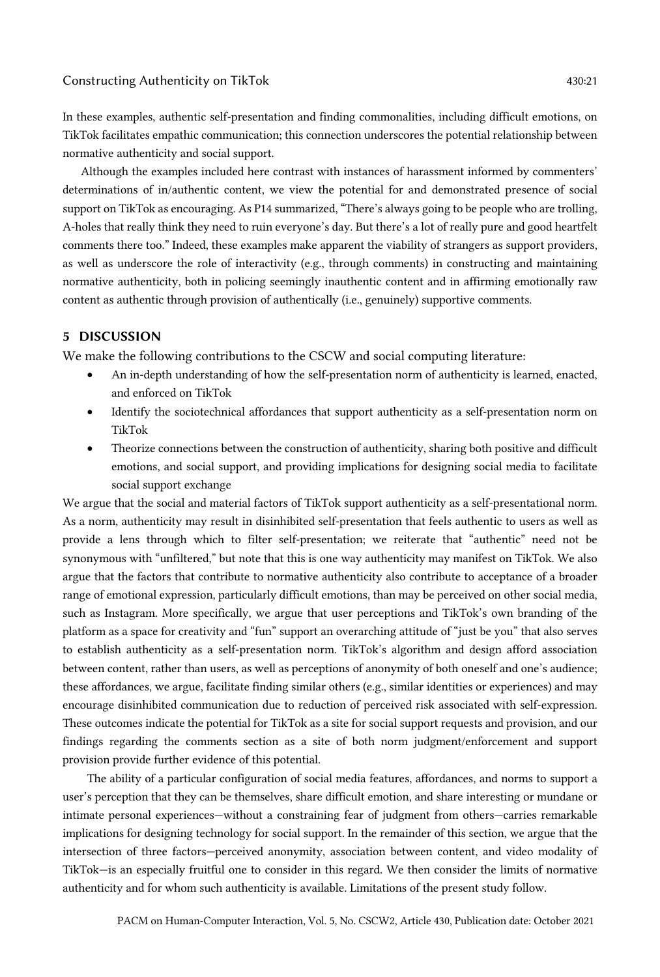In these examples, authentic self-presentation and finding commonalities, including difficult emotions, on TikTok facilitates empathic communication; this connection underscores the potential relationship between normative authenticity and social support.

Although the examples included here contrast with instances of harassment informed by commenters' determinations of in/authentic content, we view the potential for and demonstrated presence of social support on TikTok as encouraging. As P14 summarized, "There's always going to be people who are trolling, A-holes that really think they need to ruin everyone's day. But there's a lot of really pure and good heartfelt comments there too." Indeed, these examples make apparent the viability of strangers as support providers, as well as underscore the role of interactivity (e.g., through comments) in constructing and maintaining normative authenticity, both in policing seemingly inauthentic content and in affirming emotionally raw content as authentic through provision of authentically (i.e., genuinely) supportive comments.

# 5 DISCUSSION

We make the following contributions to the CSCW and social computing literature:

- An in-depth understanding of how the self-presentation norm of authenticity is learned, enacted, and enforced on TikTok
- Identify the sociotechnical affordances that support authenticity as a self-presentation norm on TikTok
- Theorize connections between the construction of authenticity, sharing both positive and difficult emotions, and social support, and providing implications for designing social media to facilitate social support exchange

We argue that the social and material factors of TikTok support authenticity as a self-presentational norm. As a norm, authenticity may result in disinhibited self-presentation that feels authentic to users as well as provide a lens through which to filter self-presentation; we reiterate that "authentic" need not be synonymous with "unfiltered," but note that this is one way authenticity may manifest on TikTok. We also argue that the factors that contribute to normative authenticity also contribute to acceptance of a broader range of emotional expression, particularly difficult emotions, than may be perceived on other social media, such as Instagram. More specifically, we argue that user perceptions and TikTok's own branding of the platform as a space for creativity and "fun" support an overarching attitude of "just be you" that also serves to establish authenticity as a self-presentation norm. TikTok's algorithm and design afford association between content, rather than users, as well as perceptions of anonymity of both oneself and one's audience; these affordances, we argue, facilitate finding similar others (e.g., similar identities or experiences) and may encourage disinhibited communication due to reduction of perceived risk associated with self-expression. These outcomes indicate the potential for TikTok as a site for social support requests and provision, and our findings regarding the comments section as a site of both norm judgment/enforcement and support provision provide further evidence of this potential.

The ability of a particular configuration of social media features, affordances, and norms to support a user's perception that they can be themselves, share difficult emotion, and share interesting or mundane or intimate personal experiences—without a constraining fear of judgment from others—carries remarkable implications for designing technology for social support. In the remainder of this section, we argue that the intersection of three factors—perceived anonymity, association between content, and video modality of TikTok—is an especially fruitful one to consider in this regard. We then consider the limits of normative authenticity and for whom such authenticity is available. Limitations of the present study follow.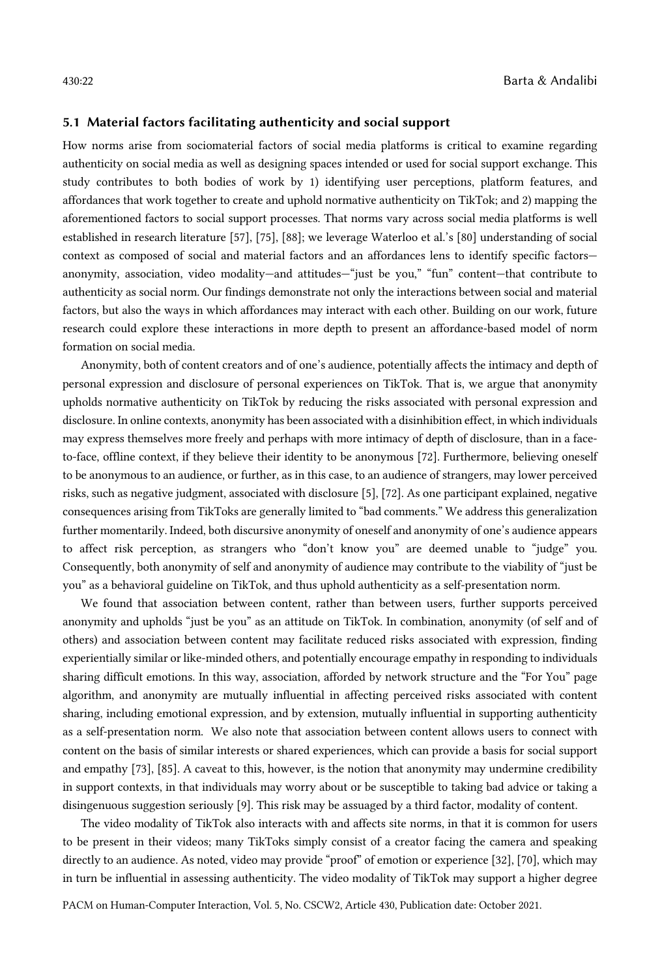# 5.1 Material factors facilitating authenticity and social support

How norms arise from sociomaterial factors of social media platforms is critical to examine regarding authenticity on social media as well as designing spaces intended or used for social support exchange. This study contributes to both bodies of work by 1) identifying user perceptions, platform features, and affordances that work together to create and uphold normative authenticity on TikTok; and 2) mapping the aforementioned factors to social support processes. That norms vary across social media platforms is well established in research literature [57], [75], [88]; we leverage Waterloo et al.'s [80] understanding of social context as composed of social and material factors and an affordances lens to identify specific factors anonymity, association, video modality—and attitudes—"just be you," "fun" content—that contribute to authenticity as social norm. Our findings demonstrate not only the interactions between social and material factors, but also the ways in which affordances may interact with each other. Building on our work, future research could explore these interactions in more depth to present an affordance-based model of norm formation on social media.

Anonymity, both of content creators and of one's audience, potentially affects the intimacy and depth of personal expression and disclosure of personal experiences on TikTok. That is, we argue that anonymity upholds normative authenticity on TikTok by reducing the risks associated with personal expression and disclosure. In online contexts, anonymity has been associated with a disinhibition effect, in which individuals may express themselves more freely and perhaps with more intimacy of depth of disclosure, than in a faceto-face, offline context, if they believe their identity to be anonymous [72]. Furthermore, believing oneself to be anonymous to an audience, or further, as in this case, to an audience of strangers, may lower perceived risks, such as negative judgment, associated with disclosure [5], [72]. As one participant explained, negative consequences arising from TikToks are generally limited to "bad comments." We address this generalization further momentarily. Indeed, both discursive anonymity of oneself and anonymity of one's audience appears to affect risk perception, as strangers who "don't know you" are deemed unable to "judge" you. Consequently, both anonymity of self and anonymity of audience may contribute to the viability of "just be you" as a behavioral guideline on TikTok, and thus uphold authenticity as a self-presentation norm.

We found that association between content, rather than between users, further supports perceived anonymity and upholds "just be you" as an attitude on TikTok. In combination, anonymity (of self and of others) and association between content may facilitate reduced risks associated with expression, finding experientially similar or like-minded others, and potentially encourage empathy in responding to individuals sharing difficult emotions. In this way, association, afforded by network structure and the "For You" page algorithm, and anonymity are mutually influential in affecting perceived risks associated with content sharing, including emotional expression, and by extension, mutually influential in supporting authenticity as a self-presentation norm. We also note that association between content allows users to connect with content on the basis of similar interests or shared experiences, which can provide a basis for social support and empathy [73], [85]. A caveat to this, however, is the notion that anonymity may undermine credibility in support contexts, in that individuals may worry about or be susceptible to taking bad advice or taking a disingenuous suggestion seriously [9]. This risk may be assuaged by a third factor, modality of content.

The video modality of TikTok also interacts with and affects site norms, in that it is common for users to be present in their videos; many TikToks simply consist of a creator facing the camera and speaking directly to an audience. As noted, video may provide "proof" of emotion or experience [32], [70], which may in turn be influential in assessing authenticity. The video modality of TikTok may support a higher degree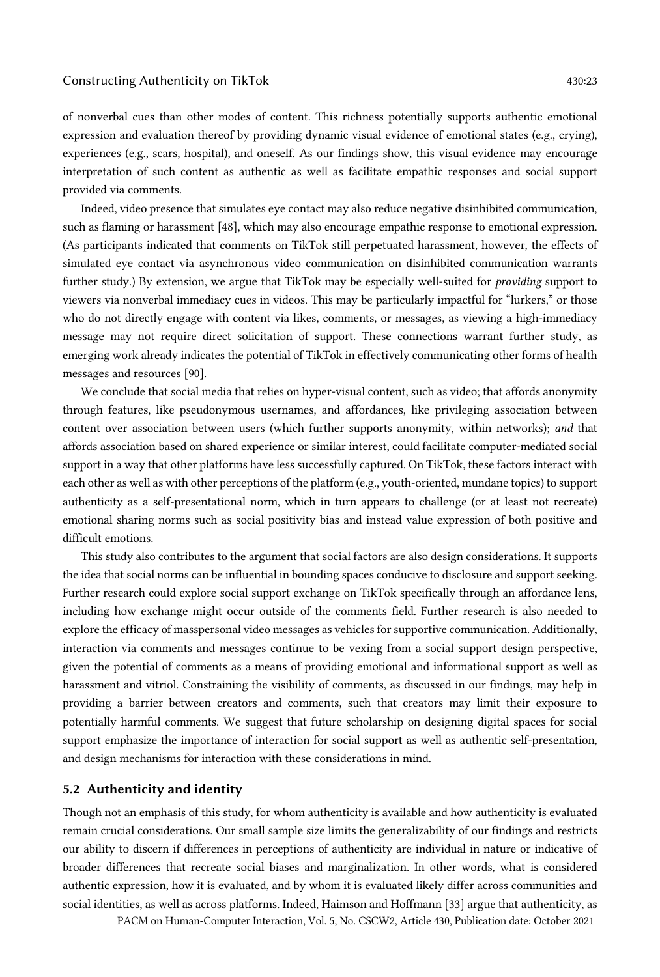of nonverbal cues than other modes of content. This richness potentially supports authentic emotional expression and evaluation thereof by providing dynamic visual evidence of emotional states (e.g., crying), experiences (e.g., scars, hospital), and oneself. As our findings show, this visual evidence may encourage interpretation of such content as authentic as well as facilitate empathic responses and social support provided via comments.

Indeed, video presence that simulates eye contact may also reduce negative disinhibited communication, such as flaming or harassment [48], which may also encourage empathic response to emotional expression. (As participants indicated that comments on TikTok still perpetuated harassment, however, the effects of simulated eye contact via asynchronous video communication on disinhibited communication warrants further study.) By extension, we argue that TikTok may be especially well-suited for *providing* support to viewers via nonverbal immediacy cues in videos. This may be particularly impactful for "lurkers," or those who do not directly engage with content via likes, comments, or messages, as viewing a high-immediacy message may not require direct solicitation of support. These connections warrant further study, as emerging work already indicates the potential of TikTok in effectively communicating other forms of health messages and resources [90].

We conclude that social media that relies on hyper-visual content, such as video; that affords anonymity through features, like pseudonymous usernames, and affordances, like privileging association between content over association between users (which further supports anonymity, within networks); *and* that affords association based on shared experience or similar interest, could facilitate computer-mediated social support in a way that other platforms have less successfully captured. On TikTok, these factors interact with each other as well as with other perceptions of the platform (e.g., youth-oriented, mundane topics) to support authenticity as a self-presentational norm, which in turn appears to challenge (or at least not recreate) emotional sharing norms such as social positivity bias and instead value expression of both positive and difficult emotions.

This study also contributes to the argument that social factors are also design considerations. It supports the idea that social norms can be influential in bounding spaces conducive to disclosure and support seeking. Further research could explore social support exchange on TikTok specifically through an affordance lens, including how exchange might occur outside of the comments field. Further research is also needed to explore the efficacy of masspersonal video messages as vehicles for supportive communication. Additionally, interaction via comments and messages continue to be vexing from a social support design perspective, given the potential of comments as a means of providing emotional and informational support as well as harassment and vitriol. Constraining the visibility of comments, as discussed in our findings, may help in providing a barrier between creators and comments, such that creators may limit their exposure to potentially harmful comments. We suggest that future scholarship on designing digital spaces for social support emphasize the importance of interaction for social support as well as authentic self-presentation, and design mechanisms for interaction with these considerations in mind.

# 5.2 Authenticity and identity

Though not an emphasis of this study, for whom authenticity is available and how authenticity is evaluated remain crucial considerations. Our small sample size limits the generalizability of our findings and restricts our ability to discern if differences in perceptions of authenticity are individual in nature or indicative of broader differences that recreate social biases and marginalization. In other words, what is considered authentic expression, how it is evaluated, and by whom it is evaluated likely differ across communities and social identities, as well as across platforms. Indeed, Haimson and Hoffmann [33] argue that authenticity, as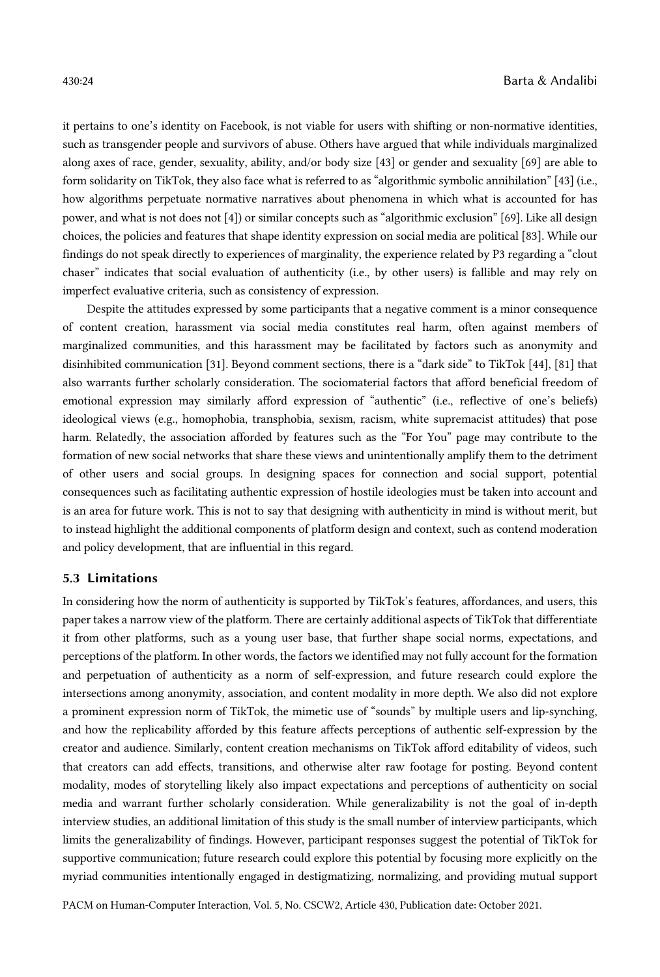it pertains to one's identity on Facebook, is not viable for users with shifting or non-normative identities, such as transgender people and survivors of abuse. Others have argued that while individuals marginalized along axes of race, gender, sexuality, ability, and/or body size [43] or gender and sexuality [69] are able to form solidarity on TikTok, they also face what is referred to as "algorithmic symbolic annihilation" [43] (i.e., how algorithms perpetuate normative narratives about phenomena in which what is accounted for has power, and what is not does not [4]) or similar concepts such as "algorithmic exclusion" [69]. Like all design choices, the policies and features that shape identity expression on social media are political [83]. While our findings do not speak directly to experiences of marginality, the experience related by P3 regarding a "clout chaser" indicates that social evaluation of authenticity (i.e., by other users) is fallible and may rely on imperfect evaluative criteria, such as consistency of expression.

Despite the attitudes expressed by some participants that a negative comment is a minor consequence of content creation, harassment via social media constitutes real harm, often against members of marginalized communities, and this harassment may be facilitated by factors such as anonymity and disinhibited communication [31]. Beyond comment sections, there is a "dark side" to TikTok [44], [81] that also warrants further scholarly consideration. The sociomaterial factors that afford beneficial freedom of emotional expression may similarly afford expression of "authentic" (i.e., reflective of one's beliefs) ideological views (e.g., homophobia, transphobia, sexism, racism, white supremacist attitudes) that pose harm. Relatedly, the association afforded by features such as the "For You" page may contribute to the formation of new social networks that share these views and unintentionally amplify them to the detriment of other users and social groups. In designing spaces for connection and social support, potential consequences such as facilitating authentic expression of hostile ideologies must be taken into account and is an area for future work. This is not to say that designing with authenticity in mind is without merit, but to instead highlight the additional components of platform design and context, such as contend moderation and policy development, that are influential in this regard.

# 5.3 Limitations

In considering how the norm of authenticity is supported by TikTok's features, affordances, and users, this paper takes a narrow view of the platform. There are certainly additional aspects of TikTok that differentiate it from other platforms, such as a young user base, that further shape social norms, expectations, and perceptions of the platform. In other words, the factors we identified may not fully account for the formation and perpetuation of authenticity as a norm of self-expression, and future research could explore the intersections among anonymity, association, and content modality in more depth. We also did not explore a prominent expression norm of TikTok, the mimetic use of "sounds" by multiple users and lip-synching, and how the replicability afforded by this feature affects perceptions of authentic self-expression by the creator and audience. Similarly, content creation mechanisms on TikTok afford editability of videos, such that creators can add effects, transitions, and otherwise alter raw footage for posting. Beyond content modality, modes of storytelling likely also impact expectations and perceptions of authenticity on social media and warrant further scholarly consideration. While generalizability is not the goal of in-depth interview studies, an additional limitation of this study is the small number of interview participants, which limits the generalizability of findings. However, participant responses suggest the potential of TikTok for supportive communication; future research could explore this potential by focusing more explicitly on the myriad communities intentionally engaged in destigmatizing, normalizing, and providing mutual support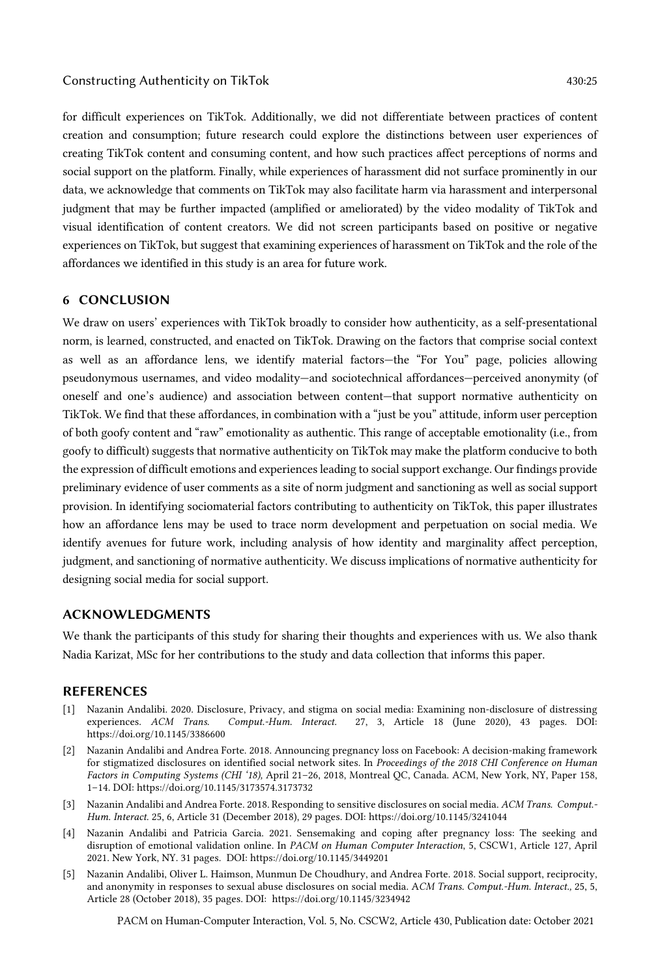for difficult experiences on TikTok. Additionally, we did not differentiate between practices of content creation and consumption; future research could explore the distinctions between user experiences of creating TikTok content and consuming content, and how such practices affect perceptions of norms and social support on the platform. Finally, while experiences of harassment did not surface prominently in our data, we acknowledge that comments on TikTok may also facilitate harm via harassment and interpersonal judgment that may be further impacted (amplified or ameliorated) by the video modality of TikTok and visual identification of content creators. We did not screen participants based on positive or negative experiences on TikTok, but suggest that examining experiences of harassment on TikTok and the role of the affordances we identified in this study is an area for future work.

# 6 CONCLUSION

We draw on users' experiences with TikTok broadly to consider how authenticity, as a self-presentational norm, is learned, constructed, and enacted on TikTok. Drawing on the factors that comprise social context as well as an affordance lens, we identify material factors—the "For You" page, policies allowing pseudonymous usernames, and video modality—and sociotechnical affordances—perceived anonymity (of oneself and one's audience) and association between content—that support normative authenticity on TikTok. We find that these affordances, in combination with a "just be you" attitude, inform user perception of both goofy content and "raw" emotionality as authentic. This range of acceptable emotionality (i.e., from goofy to difficult) suggests that normative authenticity on TikTok may make the platform conducive to both the expression of difficult emotions and experiences leading to social support exchange. Our findings provide preliminary evidence of user comments as a site of norm judgment and sanctioning as well as social support provision. In identifying sociomaterial factors contributing to authenticity on TikTok, this paper illustrates how an affordance lens may be used to trace norm development and perpetuation on social media. We identify avenues for future work, including analysis of how identity and marginality affect perception, judgment, and sanctioning of normative authenticity. We discuss implications of normative authenticity for designing social media for social support.

# ACKNOWLEDGMENTS

We thank the participants of this study for sharing their thoughts and experiences with us. We also thank Nadia Karizat, MSc for her contributions to the study and data collection that informs this paper.

# REFERENCES

- [1] Nazanin Andalibi. 2020. Disclosure, Privacy, and stigma on social media: Examining non-disclosure of distressing experiences. ACM Trans. Comput.-Hum. Interact. 27, 3, Article 18 (June 2020), 43 pages. DOI: Comput.-Hum. Interact. 27, 3, Article 18 (June 2020), 43 pages. DOI: https://doi.org/10.1145/3386600
- [2] Nazanin Andalibi and Andrea Forte. 2018. Announcing pregnancy loss on Facebook: A decision-making framework for stigmatized disclosures on identified social network sites. In *Proceedings of the 2018 CHI Conference on Human Factors in Computing Systems (CHI '18),* April 21–26, 2018, Montreal QC, Canada. ACM, New York, NY, Paper 158, 1–14. DOI: https://doi.org/10.1145/3173574.3173732
- [3] Nazanin Andalibi and Andrea Forte. 2018. Responding to sensitive disclosures on social media. *ACM Trans. Comput.- Hum. Interact.* 25, 6, Article 31 (December 2018), 29 pages. DOI: https://doi.org/10.1145/3241044
- [4] Nazanin Andalibi and Patricia Garcia. 2021. Sensemaking and coping after pregnancy loss: The seeking and disruption of emotional validation online. In *PACM on Human Computer Interaction*, 5, CSCW1, Article 127, April 2021. New York, NY. 31 pages. DOI: https://doi.org/10.1145/3449201
- [5] Nazanin Andalibi, Oliver L. Haimson, Munmun De Choudhury, and Andrea Forte. 2018. Social support, reciprocity, and anonymity in responses to sexual abuse disclosures on social media. A*CM Trans. Comput.-Hum. Interact.,* 25, 5, Article 28 (October 2018), 35 pages. DOI: https://doi.org/10.1145/3234942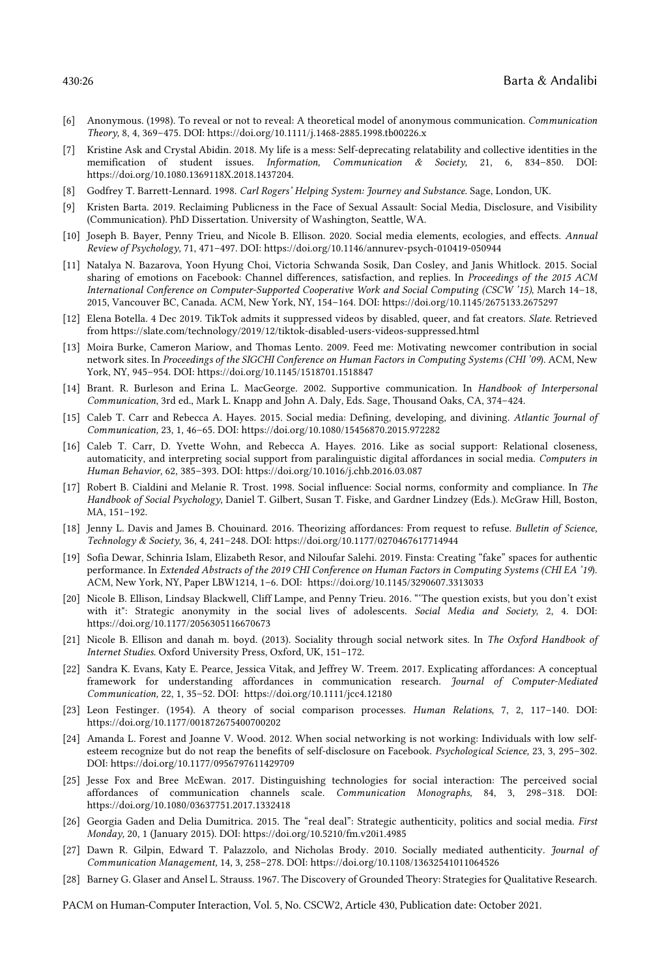- [6] Anonymous. (1998). To reveal or not to reveal: A theoretical model of anonymous communication. *Communication Theory,* 8, 4, 369–475. DOI: https://doi.org/10.1111/j.1468-2885.1998.tb00226.x
- [7] Kristine Ask and Crystal Abidin. 2018. My life is a mess: Self-deprecating relatability and collective identities in the memification of student issues. *Information, Communication & Society,* 21, 6, 834–850. DOI: https://doi.org/10.1080.1369118X.2018.1437204.
- [8] Godfrey T. Barrett-Lennard. 1998. *Carl Rogers' Helping System: Journey and Substance*. Sage, London, UK.
- [9] Kristen Barta. 2019. Reclaiming Publicness in the Face of Sexual Assault: Social Media, Disclosure, and Visibility (Communication). PhD Dissertation. University of Washington, Seattle, WA.
- [10] Joseph B. Bayer, Penny Trieu, and Nicole B. Ellison. 2020. Social media elements, ecologies, and effects. *Annual Review of Psychology,* 71, 471–497. DOI: https://doi.org/10.1146/annurev-psych-010419-050944
- [11] Natalya N. Bazarova, Yoon Hyung Choi, Victoria Schwanda Sosik, Dan Cosley, and Janis Whitlock. 2015. Social sharing of emotions on Facebook: Channel differences, satisfaction, and replies. In *Proceedings of the 2015 ACM International Conference on Computer-Supported Cooperative Work and Social Computing (CSCW '15)*, March 14–18, 2015, Vancouver BC, Canada*.* ACM, New York, NY, 154–164. DOI: https://doi.org/10.1145/2675133.2675297
- [12] Elena Botella. 4 Dec 2019. TikTok admits it suppressed videos by disabled, queer, and fat creators. *Slate*. Retrieved from https://slate.com/technology/2019/12/tiktok-disabled-users-videos-suppressed.html
- [13] Moira Burke, Cameron Mariow, and Thomas Lento. 2009. Feed me: Motivating newcomer contribution in social network sites. In *Proceedings of the SIGCHI Conference on Human Factors in Computing Systems (CHI '09*). ACM, New York, NY, 945–954. DOI: https://doi.org/10.1145/1518701.1518847
- [14] Brant. R. Burleson and Erina L. MacGeorge. 2002. Supportive communication. In *Handbook of Interpersonal Communication*, 3rd ed., Mark L. Knapp and John A. Daly, Eds. Sage, Thousand Oaks, CA, 374–424.
- [15] Caleb T. Carr and Rebecca A. Hayes. 2015. Social media: Defining, developing, and divining. *Atlantic Journal of Communication,* 23, 1, 46–65. DOI: https://doi.org/10.1080/15456870.2015.972282
- [16] Caleb T. Carr, D. Yvette Wohn, and Rebecca A. Hayes. 2016. Like as social support: Relational closeness, automaticity, and interpreting social support from paralinguistic digital affordances in social media. *Computers in Human Behavior,* 62, 385–393. DOI: https://doi.org/10.1016/j.chb.2016.03.087
- [17] Robert B. Cialdini and Melanie R. Trost. 1998. Social influence: Social norms, conformity and compliance. In *The Handbook of Social Psychology*, Daniel T. Gilbert, Susan T. Fiske, and Gardner Lindzey (Eds.). McGraw Hill, Boston, MA, 151–192.
- [18] Jenny L. Davis and James B. Chouinard. 2016. Theorizing affordances: From request to refuse. *Bulletin of Science, Technology & Society,* 36, 4, 241–248. DOI: https://doi.org/10.1177/0270467617714944
- [19] Sofia Dewar, Schinria Islam, Elizabeth Resor, and Niloufar Salehi. 2019. Finsta: Creating "fake" spaces for authentic performance. In *Extended Abstracts of the 2019 CHI Conference on Human Factors in Computing Systems (CHI EA '19*). ACM, New York, NY, Paper LBW1214, 1–6. DOI: https://doi.org/10.1145/3290607.3313033
- [20] Nicole B. Ellison, Lindsay Blackwell, Cliff Lampe, and Penny Trieu. 2016. "'The question exists, but you don't exist with it": Strategic anonymity in the social lives of adolescents. *Social Media and Society,* 2, 4. DOI: https://doi.org/10.1177/2056305116670673
- [21] Nicole B. Ellison and danah m. boyd. (2013). Sociality through social network sites. In *The Oxford Handbook of Internet Studies*. Oxford University Press, Oxford, UK, 151–172.
- [22] Sandra K. Evans, Katy E. Pearce, Jessica Vitak, and Jeffrey W. Treem. 2017. Explicating affordances: A conceptual framework for understanding affordances in communication research. *Journal of Computer-Mediated Communication,* 22, 1, 35–52. DOI: https://doi.org/10.1111/jcc4.12180
- [23] Leon Festinger. (1954). A theory of social comparison processes. *Human Relations,* 7, 2, 117–140. DOI: https://doi.org/10.1177/001872675400700202
- [24] Amanda L. Forest and Joanne V. Wood. 2012. When social networking is not working: Individuals with low selfesteem recognize but do not reap the benefits of self-disclosure on Facebook. *Psychological Science,* 23, 3, 295–302. DOI: https://doi.org/10.1177/0956797611429709
- [25] Jesse Fox and Bree McEwan. 2017. Distinguishing technologies for social interaction: The perceived social affordances of communication channels scale. *Communication Monographs,* 84, 3, 298–318. DOI: https://doi.org/10.1080/03637751.2017.1332418
- [26] Georgia Gaden and Delia Dumitrica. 2015. The "real deal": Strategic authenticity, politics and social media. *First Monday,* 20, 1 (January 2015). DOI: https://doi.org/10.5210/fm.v20i1.4985
- [27] Dawn R. Gilpin, Edward T. Palazzolo, and Nicholas Brody. 2010. Socially mediated authenticity. *Journal of Communication Management,* 14, 3, 258–278. DOI: https://doi.org/10.1108/13632541011064526
- [28] Barney G. Glaser and Ansel L. Strauss. 1967. The Discovery of Grounded Theory: Strategies for Qualitative Research.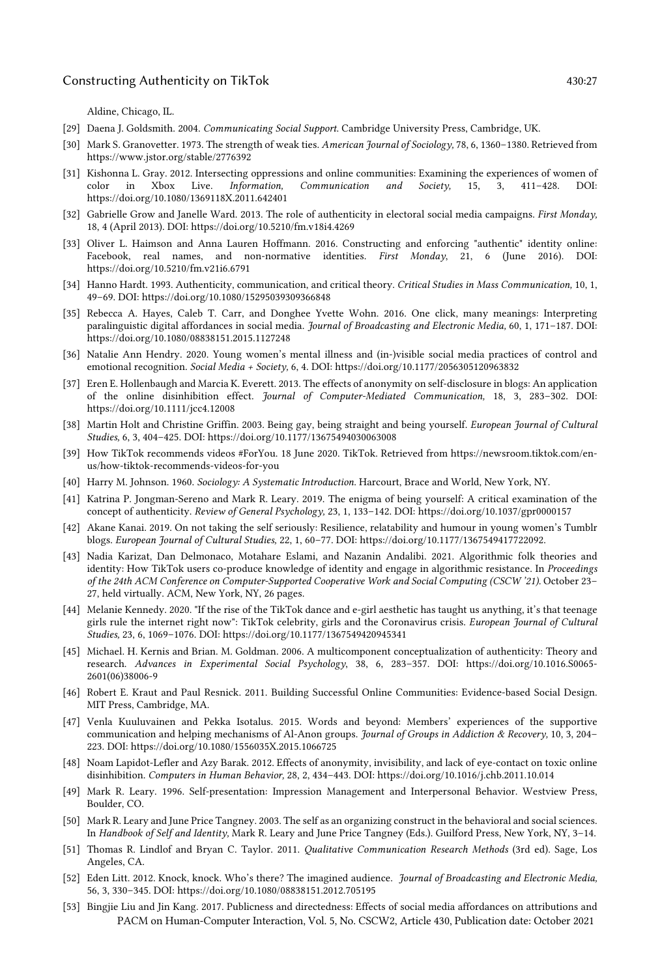Aldine, Chicago, IL.

- [29] Daena J. Goldsmith. 2004. *Communicating Social Support*. Cambridge University Press, Cambridge, UK.
- [30] Mark S. Granovetter. 1973. The strength of weak ties. *American Journal of Sociology,* 78, 6, 1360–1380. Retrieved from https://www.jstor.org/stable/2776392
- [31] Kishonna L. Gray. 2012. Intersecting oppressions and online communities: Examining the experiences of women of color in Xbox Live. *Information, Communication and Society,* 15, 3, 411–428. DOI: https://doi.org/10.1080/1369118X.2011.642401
- [32] Gabrielle Grow and Janelle Ward. 2013. The role of authenticity in electoral social media campaigns. *First Monday,*  18, 4 (April 2013). DOI: https://doi.org/10.5210/fm.v18i4.4269
- [33] Oliver L. Haimson and Anna Lauren Hoffmann. 2016. Constructing and enforcing "authentic" identity online: Facebook, real names, and non-normative identities. *First Monday*, 21, 6 (June 2016). DOI: https://doi.org/10.5210/fm.v21i6.6791
- [34] Hanno Hardt. 1993. Authenticity, communication, and critical theory. *Critical Studies in Mass Communication,* 10, 1, 49–69. DOI: https://doi.org/10.1080/15295039309366848
- [35] Rebecca A. Hayes, Caleb T. Carr, and Donghee Yvette Wohn. 2016. One click, many meanings: Interpreting paralinguistic digital affordances in social media. *Journal of Broadcasting and Electronic Media,* 60, 1, 171–187. DOI: https://doi.org/10.1080/08838151.2015.1127248
- [36] Natalie Ann Hendry. 2020. Young women's mental illness and (in-)visible social media practices of control and emotional recognition. *Social Media + Society,* 6, 4. DOI: https://doi.org/10.1177/2056305120963832
- [37] Eren E. Hollenbaugh and Marcia K. Everett. 2013. The effects of anonymity on self-disclosure in blogs: An application of the online disinhibition effect. *Journal of Computer-Mediated Communication,* 18, 3, 283–302. DOI: https://doi.org/10.1111/jcc4.12008
- [38] Martin Holt and Christine Griffin. 2003. Being gay, being straight and being yourself. *European Journal of Cultural Studies,* 6, 3, 404–425. DOI: https://doi.org/10.1177/13675494030063008
- [39] How TikTok recommends videos #ForYou. 18 June 2020. TikTok. Retrieved from https://newsroom.tiktok.com/enus/how-tiktok-recommends-videos-for-you
- [40] Harry M. Johnson. 1960. *Sociology: A Systematic Introduction*. Harcourt, Brace and World, New York, NY.
- [41] Katrina P. Jongman-Sereno and Mark R. Leary. 2019. The enigma of being yourself: A critical examination of the concept of authenticity. *Review of General Psychology,* 23, 1, 133–142. DOI: https://doi.org/10.1037/gpr0000157
- [42] Akane Kanai. 2019. On not taking the self seriously: Resilience, relatability and humour in young women's Tumblr blogs. *European Journal of Cultural Studies,* 22, 1, 60–77. DOI: https://doi.org/10.1177/1367549417722092.
- [43] Nadia Karizat, Dan Delmonaco, Motahare Eslami, and Nazanin Andalibi. 2021. Algorithmic folk theories and identity: How TikTok users co-produce knowledge of identity and engage in algorithmic resistance. In *Proceedings of the 24th ACM Conference on Computer-Supported Cooperative Work and Social Computing (CSCW '21).* October 23– 27, held virtually. ACM, New York, NY, 26 pages.
- [44] Melanie Kennedy. 2020. "If the rise of the TikTok dance and e-girl aesthetic has taught us anything, it's that teenage girls rule the internet right now": TikTok celebrity, girls and the Coronavirus crisis. *European Journal of Cultural Studies,* 23, 6, 1069–1076. DOI: https://doi.org/10.1177/1367549420945341
- [45] Michael. H. Kernis and Brian. M. Goldman. 2006. A multicomponent conceptualization of authenticity: Theory and research. *Advances in Experimental Social Psychology*, 38, 6, 283–357. DOI: https://doi.org/10.1016.S0065- 2601(06)38006-9
- [46] Robert E. Kraut and Paul Resnick. 2011. Building Successful Online Communities: Evidence-based Social Design. MIT Press, Cambridge, MA.
- [47] Venla Kuuluvainen and Pekka Isotalus. 2015. Words and beyond: Members' experiences of the supportive communication and helping mechanisms of Al-Anon groups. *Journal of Groups in Addiction & Recovery,* 10, 3, 204– 223. DOI: https://doi.org/10.1080/1556035X.2015.1066725
- [48] Noam Lapidot-Lefler and Azy Barak. 2012. Effects of anonymity, invisibility, and lack of eye-contact on toxic online disinhibition. *Computers in Human Behavior,* 28, 2, 434–443. DOI: https://doi.org/10.1016/j.chb.2011.10.014
- [49] Mark R. Leary. 1996. Self-presentation: Impression Management and Interpersonal Behavior. Westview Press, Boulder, CO.
- [50] Mark R. Leary and June Price Tangney. 2003. The self as an organizing construct in the behavioral and social sciences. In *Handbook of Self and Identity,* Mark R. Leary and June Price Tangney (Eds.). Guilford Press, New York, NY, 3–14.
- [51] Thomas R. Lindlof and Bryan C. Taylor. 2011. *Qualitative Communication Research Methods* (3rd ed). Sage, Los Angeles, CA.
- [52] Eden Litt. 2012. Knock, knock. Who's there? The imagined audience. *Journal of Broadcasting and Electronic Media,*  56, 3, 330–345. DOI: https://doi.org/10.1080/08838151.2012.705195
- PACM on Human-Computer Interaction, Vol. 5, No. CSCW2, Article 430, Publication date: October 2021 [53] Bingjie Liu and Jin Kang. 2017. Publicness and directedness: Effects of social media affordances on attributions and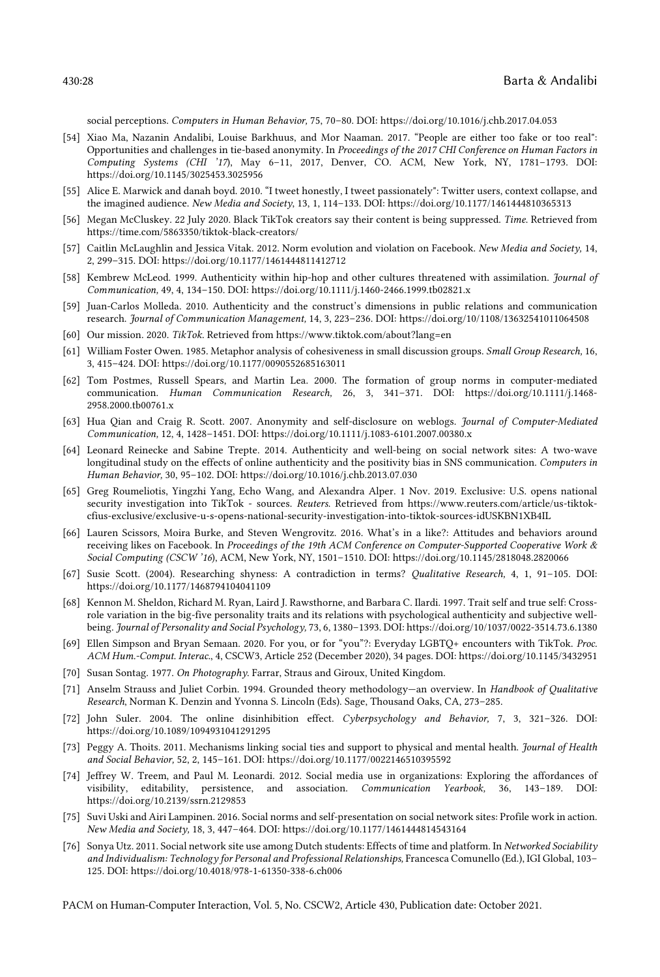social perceptions. *Computers in Human Behavior,* 75, 70–80. DOI: https://doi.org/10.1016/j.chb.2017.04.053

- [54] Xiao Ma, Nazanin Andalibi, Louise Barkhuus, and Mor Naaman. 2017. "People are either too fake or too real": Opportunities and challenges in tie-based anonymity. In *Proceedings of the 2017 CHI Conference on Human Factors in Computing Systems (CHI '17*), May 6–11, 2017, Denver, CO. ACM, New York, NY, 1781–1793. DOI: https://doi.org/10.1145/3025453.3025956
- [55] Alice E. Marwick and danah boyd. 2010. "I tweet honestly, I tweet passionately": Twitter users, context collapse, and the imagined audience. *New Media and Society*, 13, 1, 114–133. DOI: https://doi.org/10.1177/1461444810365313
- [56] Megan McCluskey. 22 July 2020. Black TikTok creators say their content is being suppressed. *Time*. Retrieved from https://time.com/5863350/tiktok-black-creators/
- [57] Caitlin McLaughlin and Jessica Vitak. 2012. Norm evolution and violation on Facebook. *New Media and Society,* 14, 2, 299–315. DOI: https://doi.org/10.1177/1461444811412712
- [58] Kembrew McLeod. 1999. Authenticity within hip-hop and other cultures threatened with assimilation. *Journal of Communication,* 49, 4, 134–150. DOI: https://doi.org/10.1111/j.1460-2466.1999.tb02821.x
- [59] Juan-Carlos Molleda. 2010. Authenticity and the construct's dimensions in public relations and communication research. *Journal of Communication Management,* 14, 3, 223–236. DOI: https://doi.org/10/1108/13632541011064508
- [60] Our mission. 2020. *TikTok*. Retrieved from https://www.tiktok.com/about?lang=en
- [61] William Foster Owen. 1985. Metaphor analysis of cohesiveness in small discussion groups. *Small Group Research,* 16, 3, 415–424. DOI: https://doi.org/10.1177/0090552685163011
- [62] Tom Postmes, Russell Spears, and Martin Lea. 2000. The formation of group norms in computer-mediated communication. *Human Communication Research,* 26, 3, 341–371. DOI: https://doi.org/10.1111/j.1468- 2958.2000.tb00761.x
- [63] Hua Qian and Craig R. Scott. 2007. Anonymity and self-disclosure on weblogs. *Journal of Computer-Mediated Communication,* 12, 4, 1428–1451. DOI: https://doi.org/10.1111/j.1083-6101.2007.00380.x
- [64] Leonard Reinecke and Sabine Trepte. 2014. Authenticity and well-being on social network sites: A two-wave longitudinal study on the effects of online authenticity and the positivity bias in SNS communication. *Computers in Human Behavior,* 30, 95–102. DOI: https://doi.org/10.1016/j.chb.2013.07.030
- [65] Greg Roumeliotis, Yingzhi Yang, Echo Wang, and Alexandra Alper. 1 Nov. 2019. Exclusive: U.S. opens national security investigation into TikTok - sources. *Reuters*. Retrieved from https://www.reuters.com/article/us-tiktokcfius-exclusive/exclusive-u-s-opens-national-security-investigation-into-tiktok-sources-idUSKBN1XB4IL
- [66] Lauren Scissors, Moira Burke, and Steven Wengrovitz. 2016. What's in a like?: Attitudes and behaviors around receiving likes on Facebook. In *Proceedings of the 19th ACM Conference on Computer-Supported Cooperative Work & Social Computing (CSCW '16*), ACM, New York, NY, 1501–1510. DOI: https://doi.org/10.1145/2818048.2820066
- [67] Susie Scott. (2004). Researching shyness: A contradiction in terms? *Qualitative Research,* 4, 1, 91–105. DOI: https://doi.org/10.1177/1468794104041109
- [68] Kennon M. Sheldon, Richard M. Ryan, Laird J. Rawsthorne, and Barbara C. Ilardi. 1997. Trait self and true self: Crossrole variation in the big-five personality traits and its relations with psychological authenticity and subjective wellbeing. *Journal of Personality and Social Psychology,* 73, 6, 1380–1393. DOI: https://doi.org/10/1037/0022-3514.73.6.1380
- [69] Ellen Simpson and Bryan Semaan. 2020. For you, or for "you"?: Everyday LGBTQ+ encounters with TikTok. *Proc. ACM Hum.-Comput. Interac.*, 4, CSCW3, Article 252 (December 2020), 34 pages. DOI: https://doi.org/10.1145/3432951
- [70] Susan Sontag. 1977. *On Photography*. Farrar, Straus and Giroux, United Kingdom.
- [71] Anselm Strauss and Juliet Corbin. 1994. Grounded theory methodology—an overview. In *Handbook of Qualitative Research*, Norman K. Denzin and Yvonna S. Lincoln (Eds). Sage, Thousand Oaks, CA, 273–285.
- [72] John Suler. 2004. The online disinhibition effect. *Cyberpsychology and Behavior,* 7, 3, 321–326. DOI: https://doi.org/10.1089/1094931041291295
- [73] Peggy A. Thoits. 2011. Mechanisms linking social ties and support to physical and mental health. *Journal of Health and Social Behavior,* 52, 2, 145–161. DOI: https://doi.org/10.1177/0022146510395592
- [74] Jeffrey W. Treem, and Paul M. Leonardi. 2012. Social media use in organizations: Exploring the affordances of visibility, editability, persistence, and association. *Communication Yearbook,* 36, 143–189. DOI: https://doi.org/10.2139/ssrn.2129853
- [75] Suvi Uski and Airi Lampinen. 2016. Social norms and self-presentation on social network sites: Profile work in action. *New Media and Society,* 18, 3, 447–464. DOI: https://doi.org/10.1177/1461444814543164
- [76] Sonya Utz. 2011. Social network site use among Dutch students: Effects of time and platform. In *Networked Sociability and Individualism: Technology for Personal and Professional Relationships,* Francesca Comunello (Ed.), IGI Global, 103– 125*.* DOI: https://doi.org/10.4018/978-1-61350-338-6.ch006